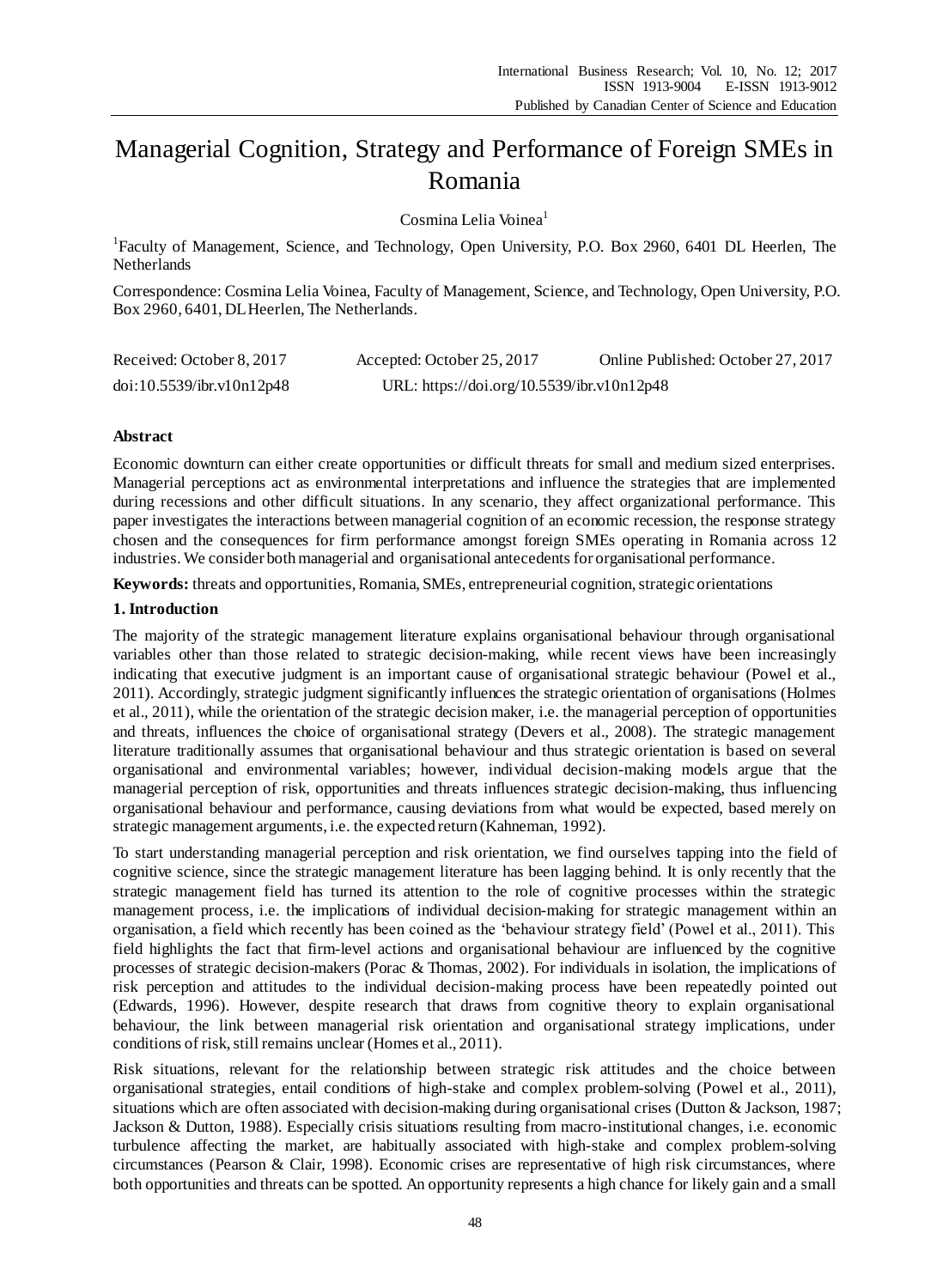# Managerial Cognition, Strategy and Performance of Foreign SMEs in Romania

Cosmina Lelia Voinea<sup>1</sup>

<sup>1</sup>Faculty of Management, Science, and Technology, Open University, P.O. Box 2960, 6401 DL Heerlen, The Netherlands

Correspondence: Cosmina Lelia Voinea, Faculty of Management, Science, and Technology, Open University, P.O. Box 2960, 6401, DL Heerlen, The Netherlands.

| Received: October 8, 2017 | Accepted: October 25, 2017                 | Online Published: October 27, 2017 |
|---------------------------|--------------------------------------------|------------------------------------|
| doi:10.5539/ibr.v10n12p48 | URL: https://doi.org/10.5539/ibr.v10n12p48 |                                    |

# **Abstract**

Economic downturn can either create opportunities or difficult threats for small and medium sized enterprises. Managerial perceptions act as environmental interpretations and influence the strategies that are implemented during recessions and other difficult situations. In any scenario, they affect organizational performance. This paper investigates the interactions between managerial cognition of an economic recession, the response strategy chosen and the consequences for firm performance amongst foreign SMEs operating in Romania across 12 industries. We consider both managerial and organisational antecedents for organisational performance.

**Keywords:** threats and opportunities, Romania, SMEs, entrepreneurial cognition, strategic orientations

# **1. Introduction**

The majority of the strategic management literature explains organisational behaviour through organisational variables other than those related to strategic decision-making, while recent views have been increasingly indicating that executive judgment is an important cause of organisational strategic behaviour (Powel et al., 2011). Accordingly, strategic judgment significantly influences the strategic orientation of organisations (Holmes et al., 2011), while the orientation of the strategic decision maker, i.e. the managerial perception of opportunities and threats, influences the choice of organisational strategy (Devers et al., 2008). The strategic management literature traditionally assumes that organisational behaviour and thus strategic orientation is based on several organisational and environmental variables; however, individual decision-making models argue that the managerial perception of risk, opportunities and threats influences strategic decision-making, thus influencing organisational behaviour and performance, causing deviations from what would be expected, based merely on strategic management arguments, i.e. the expected return (Kahneman, 1992).

To start understanding managerial perception and risk orientation, we find ourselves tapping into the field of cognitive science, since the strategic management literature has been lagging behind. It is only recently that the strategic management field has turned its attention to the role of cognitive processes within the strategic management process, i.e. the implications of individual decision-making for strategic management within an organisation, a field which recently has been coined as the 'behaviour strategy field' (Powel et al., 2011). This field highlights the fact that firm-level actions and organisational behaviour are influenced by the cognitive processes of strategic decision-makers (Porac & Thomas, 2002). For individuals in isolation, the implications of risk perception and attitudes to the individual decision-making process have been repeatedly pointed out (Edwards, 1996). However, despite research that draws from cognitive theory to explain organisational behaviour, the link between managerial risk orientation and organisational strategy implications, under conditions of risk, still remains unclear (Homes et al., 2011).

Risk situations, relevant for the relationship between strategic risk attitudes and the choice between organisational strategies, entail conditions of high-stake and complex problem-solving (Powel et al., 2011), situations which are often associated with decision-making during organisational crises (Dutton & Jackson, 1987; Jackson & Dutton, 1988). Especially crisis situations resulting from macro-institutional changes, i.e. economic turbulence affecting the market, are habitually associated with high-stake and complex problem-solving circumstances (Pearson & Clair, 1998). Economic crises are representative of high risk circumstances, where both opportunities and threats can be spotted. An opportunity represents a high chance for likely gain and a small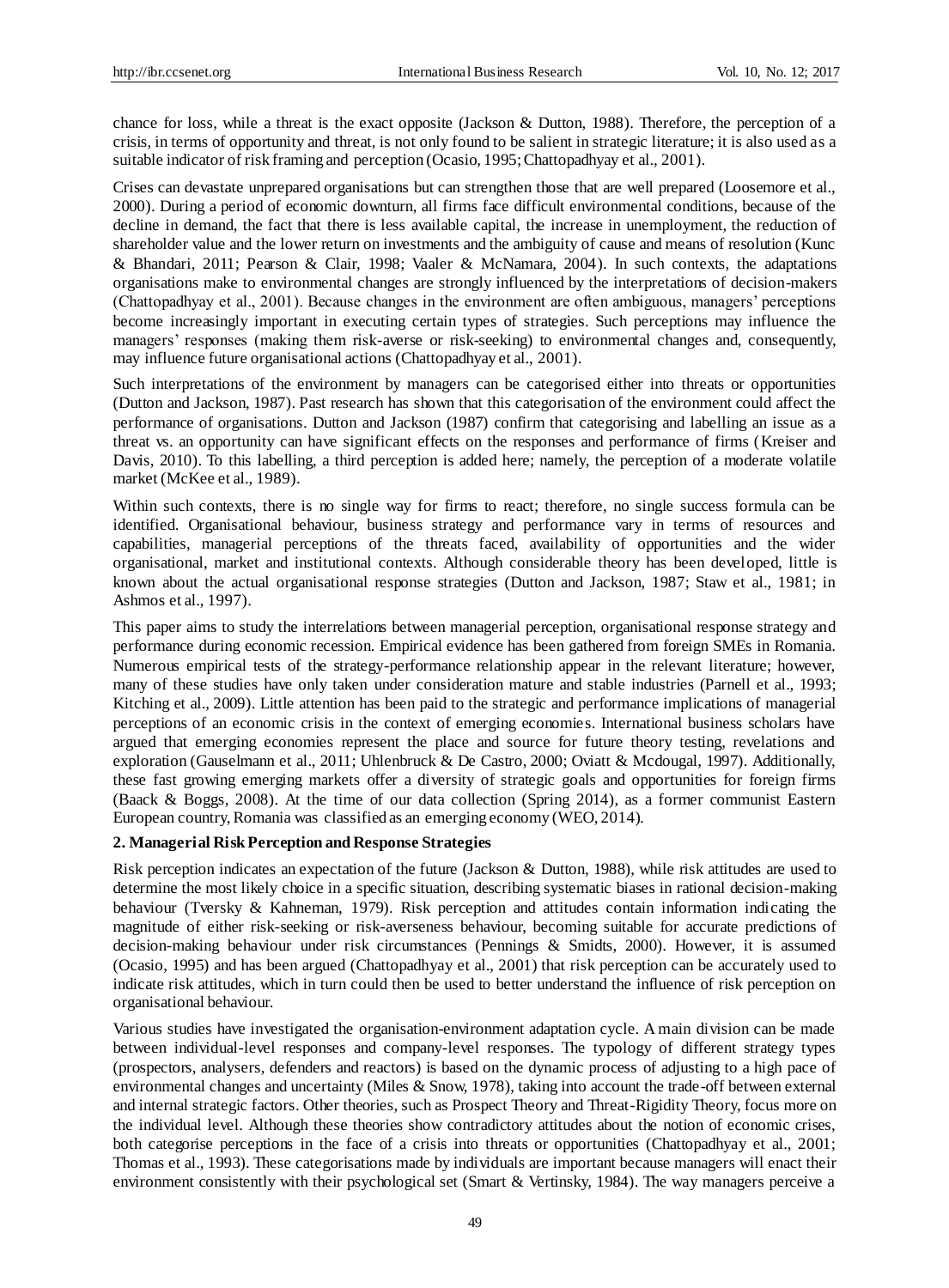chance for loss, while a threat is the exact opposite (Jackson & Dutton, 1988). Therefore, the perception of a crisis, in terms of opportunity and threat, is not only found to be salient in strategic literature; it is also used as a suitable indicator of risk framing and perception (Ocasio, 1995; Chattopadhyay et al., 2001).

Crises can devastate unprepared organisations but can strengthen those that are well prepared (Loosemore et al., 2000). During a period of economic downturn, all firms face difficult environmental conditions, because of the decline in demand, the fact that there is less available capital, the increase in unemployment, the reduction of shareholder value and the lower return on investments and the ambiguity of cause and means of resolution (Kunc & Bhandari, 2011; Pearson & Clair, 1998; Vaaler & McNamara, 2004). In such contexts, the adaptations organisations make to environmental changes are strongly influenced by the interpretations of decision-makers (Chattopadhyay et al., 2001). Because changes in the environment are often ambiguous, managers' perceptions become increasingly important in executing certain types of strategies. Such perceptions may influence the managers' responses (making them risk-averse or risk-seeking) to environmental changes and, consequently, may influence future organisational actions (Chattopadhyay et al., 2001).

Such interpretations of the environment by managers can be categorised either into threats or opportunities (Dutton and Jackson, 1987). Past research has shown that this categorisation of the environment could affect the performance of organisations. Dutton and Jackson (1987) confirm that categorising and labelling an issue as a threat vs. an opportunity can have significant effects on the responses and performance of firms (Kreiser and Davis, 2010). To this labelling, a third perception is added here; namely, the perception of a moderate volatile market (McKee et al., 1989).

Within such contexts, there is no single way for firms to react; therefore, no single success formula can be identified. Organisational behaviour, business strategy and performance vary in terms of resources and capabilities, managerial perceptions of the threats faced, availability of opportunities and the wider organisational, market and institutional contexts. Although considerable theory has been developed, little is known about the actual organisational response strategies (Dutton and Jackson, 1987; Staw et al., 1981; in Ashmos et al., 1997).

This paper aims to study the interrelations between managerial perception, organisational response strategy and performance during economic recession. Empirical evidence has been gathered from foreign SMEs in Romania. Numerous empirical tests of the strategy-performance relationship appear in the relevant literature; however, many of these studies have only taken under consideration mature and stable industries (Parnell et al., 1993; Kitching et al., 2009). Little attention has been paid to the strategic and performance implications of managerial perceptions of an economic crisis in the context of emerging economies. International business scholars have argued that emerging economies represent the place and source for future theory testing, revelations and exploration (Gauselmann et al., 2011; Uhlenbruck & De Castro, 2000; Oviatt & Mcdougal, 1997). Additionally, these fast growing emerging markets offer a diversity of strategic goals and opportunities for foreign firms (Baack & Boggs, 2008). At the time of our data collection (Spring 2014), as a former communist Eastern European country, Romania was classified as an emerging economy (WEO, 2014).

# **2. Managerial Risk Perception and Response Strategies**

Risk perception indicates an expectation of the future (Jackson & Dutton, 1988), while risk attitudes are used to determine the most likely choice in a specific situation, describing systematic biases in rational decision-making behaviour (Tversky & Kahneman, 1979). Risk perception and attitudes contain information indicating the magnitude of either risk-seeking or risk-averseness behaviour, becoming suitable for accurate predictions of decision-making behaviour under risk circumstances (Pennings & Smidts, 2000). However, it is assumed (Ocasio, 1995) and has been argued (Chattopadhyay et al., 2001) that risk perception can be accurately used to indicate risk attitudes, which in turn could then be used to better understand the influence of risk perception on organisational behaviour.

Various studies have investigated the organisation-environment adaptation cycle. A main division can be made between individual-level responses and company-level responses. The typology of different strategy types (prospectors, analysers, defenders and reactors) is based on the dynamic process of adjusting to a high pace of environmental changes and uncertainty (Miles & Snow, 1978), taking into account the trade-off between external and internal strategic factors. Other theories, such as Prospect Theory and Threat-Rigidity Theory, focus more on the individual level. Although these theories show contradictory attitudes about the notion of economic crises, both categorise perceptions in the face of a crisis into threats or opportunities (Chattopadhyay et al., 2001; Thomas et al., 1993). These categorisations made by individuals are important because managers will enact their environment consistently with their psychological set (Smart & Vertinsky, 1984). The way managers perceive a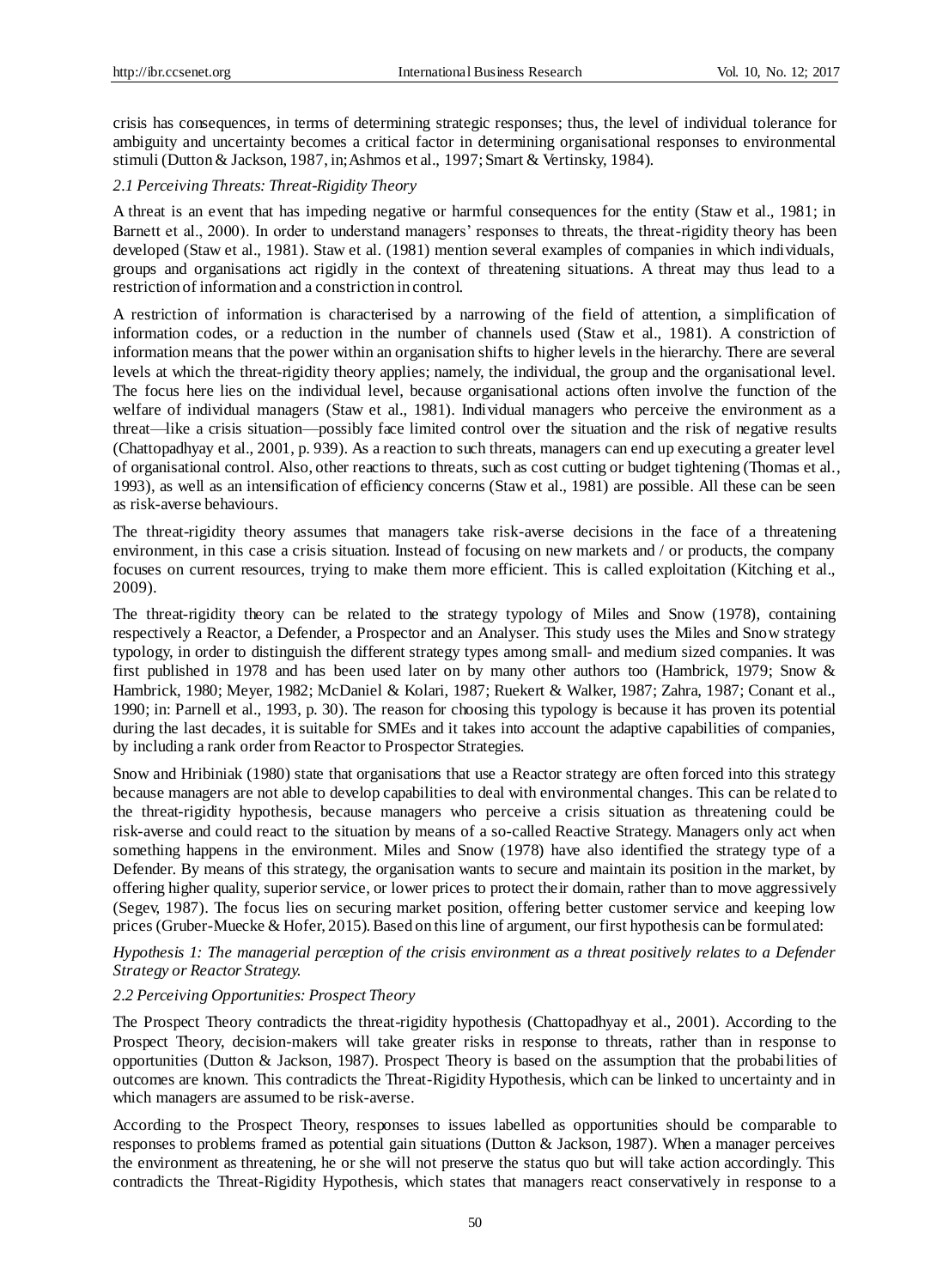crisis has consequences, in terms of determining strategic responses; thus, the level of individual tolerance for ambiguity and uncertainty becomes a critical factor in determining organisational responses to environmental stimuli (Dutton & Jackson, 1987, in; Ashmos et al., 1997; Smart & Vertinsky, 1984).

## *2.1 Perceiving Threats: Threat-Rigidity Theory*

A threat is an event that has impeding negative or harmful consequences for the entity (Staw et al., 1981; in Barnett et al., 2000). In order to understand managers' responses to threats, the threat-rigidity theory has been developed (Staw et al., 1981). Staw et al. (1981) mention several examples of companies in which individuals, groups and organisations act rigidly in the context of threatening situations. A threat may thus lead to a restriction of information and a constriction in control.

A restriction of information is characterised by a narrowing of the field of attention, a simplification of information codes, or a reduction in the number of channels used (Staw et al., 1981). A constriction of information means that the power within an organisation shifts to higher levels in the hierarchy. There are several levels at which the threat-rigidity theory applies; namely, the individual, the group and the organisational level. The focus here lies on the individual level, because organisational actions often involve the function of the welfare of individual managers (Staw et al., 1981). Individual managers who perceive the environment as a threat—like a crisis situation—possibly face limited control over the situation and the risk of negative results (Chattopadhyay et al., 2001, p. 939). As a reaction to such threats, managers can end up executing a greater level of organisational control. Also, other reactions to threats, such as cost cutting or budget tightening (Thomas et al., 1993), as well as an intensification of efficiency concerns (Staw et al., 1981) are possible. All these can be seen as risk-averse behaviours.

The threat-rigidity theory assumes that managers take risk-averse decisions in the face of a threatening environment, in this case a crisis situation. Instead of focusing on new markets and / or products, the company focuses on current resources, trying to make them more efficient. This is called exploitation (Kitching et al., 2009).

The threat-rigidity theory can be related to the strategy typology of Miles and Snow (1978), containing respectively a Reactor, a Defender, a Prospector and an Analyser. This study uses the Miles and Snow strategy typology, in order to distinguish the different strategy types among small- and medium sized companies. It was first published in 1978 and has been used later on by many other authors too (Hambrick, 1979; Snow & Hambrick, 1980; Meyer, 1982; McDaniel & Kolari, 1987; Ruekert & Walker, 1987; Zahra, 1987; Conant et al., 1990; in: Parnell et al., 1993, p. 30). The reason for choosing this typology is because it has proven its potential during the last decades, it is suitable for SMEs and it takes into account the adaptive capabilities of companies, by including a rank order from Reactor to Prospector Strategies.

Snow and Hribiniak (1980) state that organisations that use a Reactor strategy are often forced into this strategy because managers are not able to develop capabilities to deal with environmental changes. This can be related to the threat-rigidity hypothesis, because managers who perceive a crisis situation as threatening could be risk-averse and could react to the situation by means of a so-called Reactive Strategy. Managers only act when something happens in the environment. Miles and Snow (1978) have also identified the strategy type of a Defender. By means of this strategy, the organisation wants to secure and maintain its position in the market, by offering higher quality, superior service, or lower prices to protect their domain, rather than to move aggressively (Segev, 1987). The focus lies on securing market position, offering better customer service and keeping low prices (Gruber-Muecke & Hofer, 2015). Based on this line of argument, our first hypothesis can be formulated:

# *Hypothesis 1: The managerial perception of the crisis environment as a threat positively relates to a Defender Strategy or Reactor Strategy.*

# *2.2 Perceiving Opportunities: Prospect Theory*

The Prospect Theory contradicts the threat-rigidity hypothesis (Chattopadhyay et al., 2001). According to the Prospect Theory, decision-makers will take greater risks in response to threats, rather than in response to opportunities (Dutton & Jackson, 1987). Prospect Theory is based on the assumption that the probabilities of outcomes are known. This contradicts the Threat-Rigidity Hypothesis, which can be linked to uncertainty and in which managers are assumed to be risk-averse.

According to the Prospect Theory, responses to issues labelled as opportunities should be comparable to responses to problems framed as potential gain situations (Dutton & Jackson, 1987). When a manager perceives the environment as threatening, he or she will not preserve the status quo but will take action accordingly. This contradicts the Threat-Rigidity Hypothesis, which states that managers react conservatively in response to a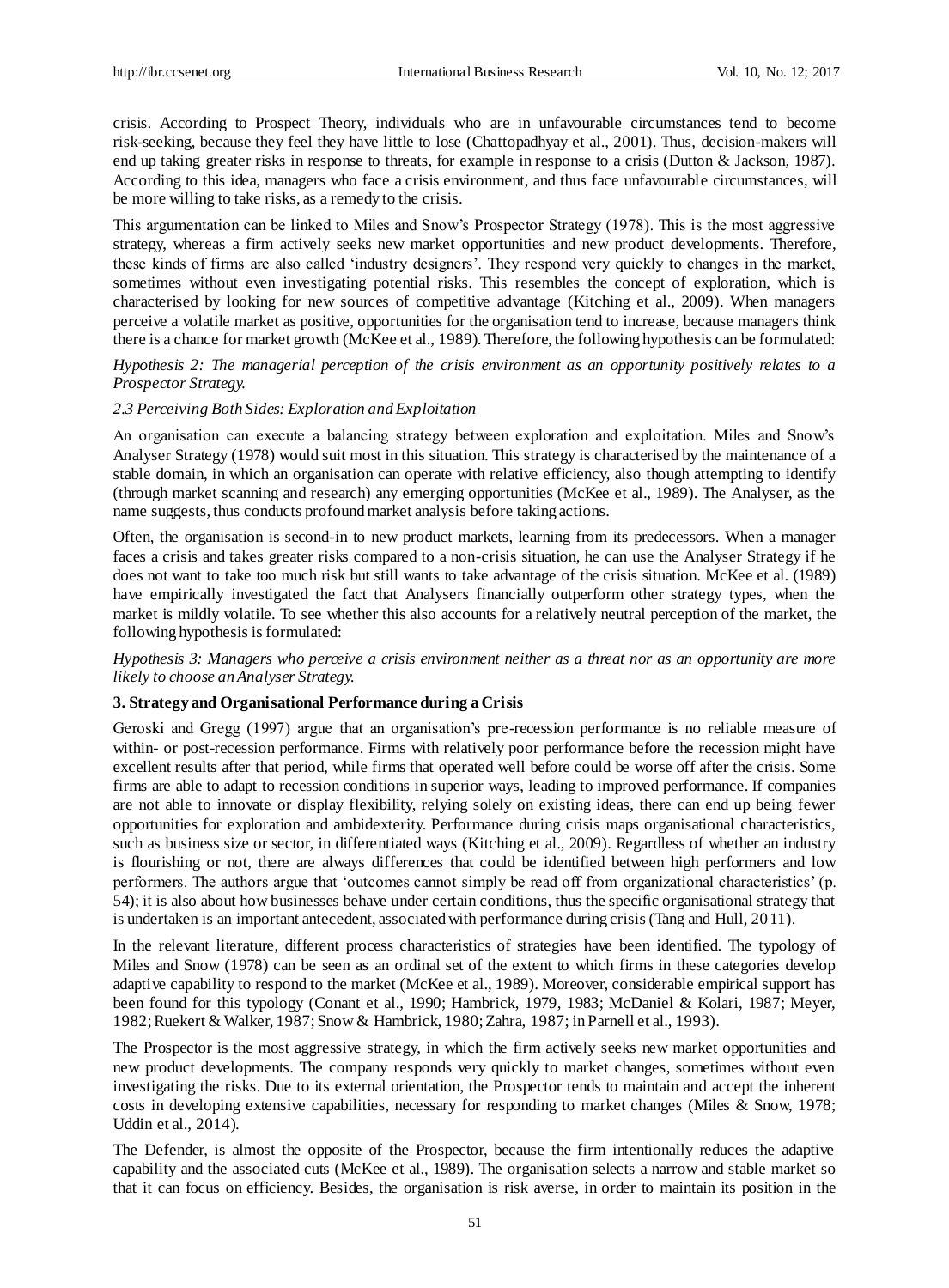crisis. According to Prospect Theory, individuals who are in unfavourable circumstances tend to become risk-seeking, because they feel they have little to lose (Chattopadhyay et al., 2001). Thus, decision-makers will end up taking greater risks in response to threats, for example in response to a crisis (Dutton & Jackson, 1987). According to this idea, managers who face a crisis environment, and thus face unfavourable circumstances, will be more willing to take risks, as a remedy to the crisis.

This argumentation can be linked to Miles and Snow's Prospector Strategy (1978). This is the most aggressive strategy, whereas a firm actively seeks new market opportunities and new product developments. Therefore, these kinds of firms are also called 'industry designers'. They respond very quickly to changes in the market, sometimes without even investigating potential risks. This resembles the concept of exploration, which is characterised by looking for new sources of competitive advantage (Kitching et al., 2009). When managers perceive a volatile market as positive, opportunities for the organisation tend to increase, because managers think there is a chance for market growth (McKee et al., 1989). Therefore, the following hypothesis can be formulated:

*Hypothesis 2: The managerial perception of the crisis environment as an opportunity positively relates to a Prospector Strategy.*

#### *2.3 Perceiving Both Sides: Exploration and Exploitation*

An organisation can execute a balancing strategy between exploration and exploitation. Miles and Snow's Analyser Strategy (1978) would suit most in this situation. This strategy is characterised by the maintenance of a stable domain, in which an organisation can operate with relative efficiency, also though attempting to identify (through market scanning and research) any emerging opportunities (McKee et al., 1989). The Analyser, as the name suggests, thus conducts profound market analysis before taking actions.

Often, the organisation is second-in to new product markets, learning from its predecessors. When a manager faces a crisis and takes greater risks compared to a non-crisis situation, he can use the Analyser Strategy if he does not want to take too much risk but still wants to take advantage of the crisis situation. McKee et al. (1989) have empirically investigated the fact that Analysers financially outperform other strategy types, when the market is mildly volatile. To see whether this also accounts for a relatively neutral perception of the market, the following hypothesis is formulated:

*Hypothesis 3: Managers who perceive a crisis environment neither as a threat nor as an opportunity are more likely to choose an Analyser Strategy.* 

#### **3. Strategy and Organisational Performance during a Crisis**

Geroski and Gregg (1997) argue that an organisation's pre-recession performance is no reliable measure of within- or post-recession performance. Firms with relatively poor performance before the recession might have excellent results after that period, while firms that operated well before could be worse off after the crisis. Some firms are able to adapt to recession conditions in superior ways, leading to improved performance. If companies are not able to innovate or display flexibility, relying solely on existing ideas, there can end up being fewer opportunities for exploration and ambidexterity. Performance during crisis maps organisational characteristics, such as business size or sector, in differentiated ways (Kitching et al., 2009). Regardless of whether an industry is flourishing or not, there are always differences that could be identified between high performers and low performers. The authors argue that 'outcomes cannot simply be read off from organizational characteristics' (p. 54); it is also about how businesses behave under certain conditions, thus the specific organisational strategy that is undertaken is an important antecedent, associated with performance during crisis (Tang and Hull, 2011).

In the relevant literature, different process characteristics of strategies have been identified. The typology of Miles and Snow (1978) can be seen as an ordinal set of the extent to which firms in these categories develop adaptive capability to respond to the market (McKee et al., 1989). Moreover, considerable empirical support has been found for this typology (Conant et al., 1990; Hambrick, 1979, 1983; McDaniel & Kolari, 1987; Meyer, 1982; Ruekert & Walker, 1987; Snow & Hambrick, 1980; Zahra, 1987; in Parnell et al., 1993).

The Prospector is the most aggressive strategy, in which the firm actively seeks new market opportunities and new product developments. The company responds very quickly to market changes, sometimes without even investigating the risks. Due to its external orientation, the Prospector tends to maintain and accept the inherent costs in developing extensive capabilities, necessary for responding to market changes (Miles & Snow, 1978; Uddin et al., 2014).

The Defender, is almost the opposite of the Prospector, because the firm intentionally reduces the adaptive capability and the associated cuts (McKee et al., 1989). The organisation selects a narrow and stable market so that it can focus on efficiency. Besides, the organisation is risk averse, in order to maintain its position in the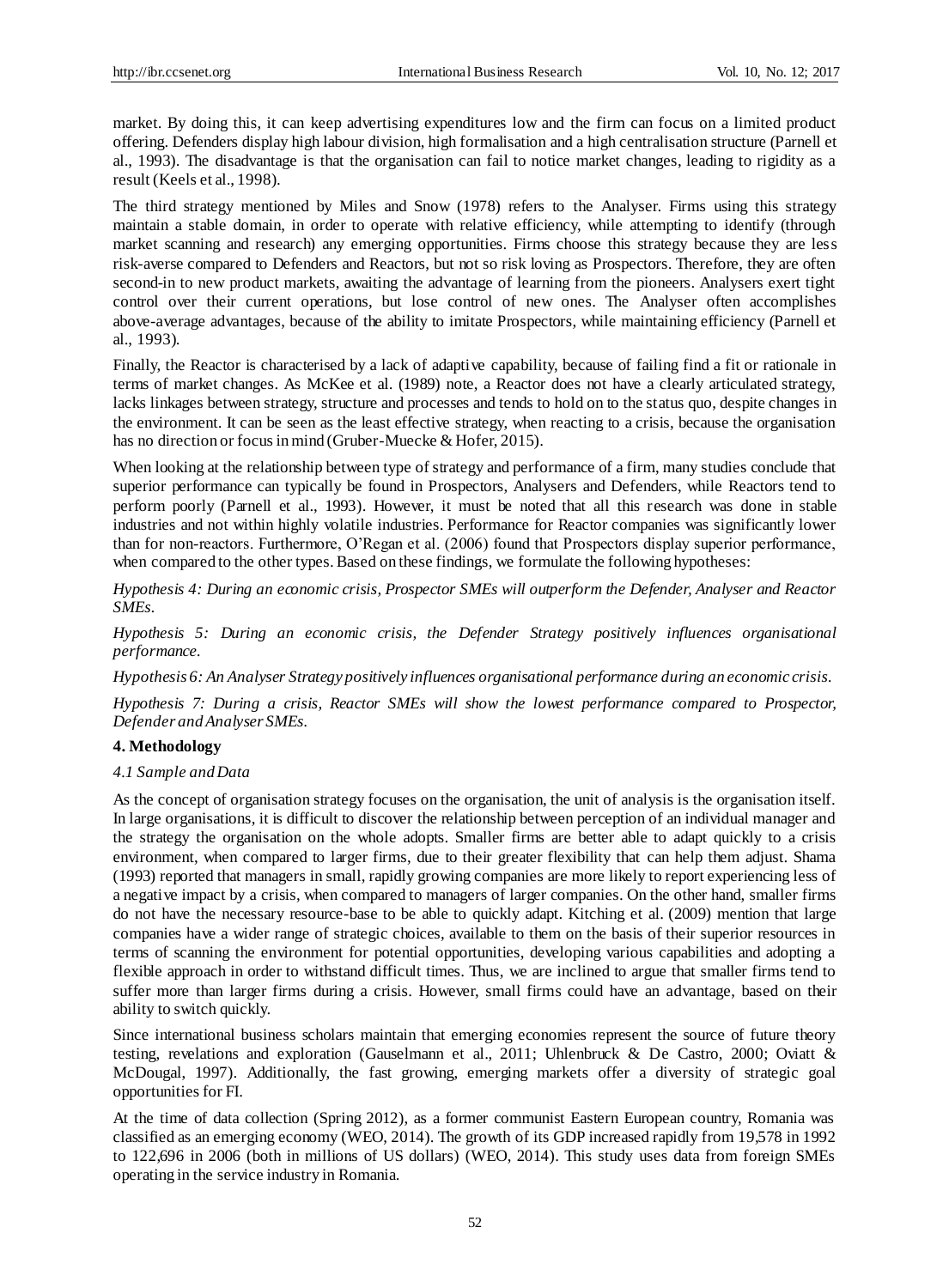market. By doing this, it can keep advertising expenditures low and the firm can focus on a limited product offering. Defenders display high labour division, high formalisation and a high centralisation structure (Parnell et al., 1993). The disadvantage is that the organisation can fail to notice market changes, leading to rigidity as a result (Keels et al., 1998).

The third strategy mentioned by Miles and Snow (1978) refers to the Analyser. Firms using this strategy maintain a stable domain, in order to operate with relative efficiency, while attempting to identify (through market scanning and research) any emerging opportunities. Firms choose this strategy because they are less risk-averse compared to Defenders and Reactors, but not so risk loving as Prospectors. Therefore, they are often second-in to new product markets, awaiting the advantage of learning from the pioneers. Analysers exert tight control over their current operations, but lose control of new ones. The Analyser often accomplishes above-average advantages, because of the ability to imitate Prospectors, while maintaining efficiency (Parnell et al., 1993).

Finally, the Reactor is characterised by a lack of adaptive capability, because of failing find a fit or rationale in terms of market changes. As McKee et al. (1989) note, a Reactor does not have a clearly articulated strategy, lacks linkages between strategy, structure and processes and tends to hold on to the status quo, despite changes in the environment. It can be seen as the least effective strategy, when reacting to a crisis, because the organisation has no direction or focus in mind (Gruber-Muecke & Hofer, 2015).

When looking at the relationship between type of strategy and performance of a firm, many studies conclude that superior performance can typically be found in Prospectors, Analysers and Defenders, while Reactors tend to perform poorly (Parnell et al., 1993). However, it must be noted that all this research was done in stable industries and not within highly volatile industries. Performance for Reactor companies was significantly lower than for non-reactors. Furthermore, O'Regan et al. (2006) found that Prospectors display superior performance, when compared to the other types. Based on these findings, we formulate the following hypotheses:

*Hypothesis 4: During an economic crisis, Prospector SMEs will outperform the Defender, Analyser and Reactor SMEs.* 

*Hypothesis 5: During an economic crisis, the Defender Strategy positively influences organisational performance.*

*Hypothesis 6: An Analyser Strategy positively influences organisational performance during an economic crisis.*

*Hypothesis 7: During a crisis, Reactor SMEs will show the lowest performance compared to Prospector, Defender and Analyser SMEs.* 

#### **4. Methodology**

#### *4.1 Sample and Data*

As the concept of organisation strategy focuses on the organisation, the unit of analysis is the organisation itself. In large organisations, it is difficult to discover the relationship between perception of an individual manager and the strategy the organisation on the whole adopts. Smaller firms are better able to adapt quickly to a crisis environment, when compared to larger firms, due to their greater flexibility that can help them adjust. Shama (1993) reported that managers in small, rapidly growing companies are more likely to report experiencing less of a negative impact by a crisis, when compared to managers of larger companies. On the other hand, smaller firms do not have the necessary resource-base to be able to quickly adapt. Kitching et al. (2009) mention that large companies have a wider range of strategic choices, available to them on the basis of their superior resources in terms of scanning the environment for potential opportunities, developing various capabilities and adopting a flexible approach in order to withstand difficult times. Thus, we are inclined to argue that smaller firms tend to suffer more than larger firms during a crisis. However, small firms could have an advantage, based on their ability to switch quickly.

Since international business scholars maintain that emerging economies represent the source of future theory testing, revelations and exploration (Gauselmann et al., 2011; Uhlenbruck & De Castro, 2000; Oviatt & McDougal, 1997). Additionally, the fast growing, emerging markets offer a diversity of strategic goal opportunities for FI.

At the time of data collection (Spring 2012), as a former communist Eastern European country, Romania was classified as an emerging economy (WEO, 2014). The growth of its GDP increased rapidly from 19,578 in 1992 to 122,696 in 2006 (both in millions of US dollars) (WEO, 2014). This study uses data from foreign SMEs operating in the service industry in Romania.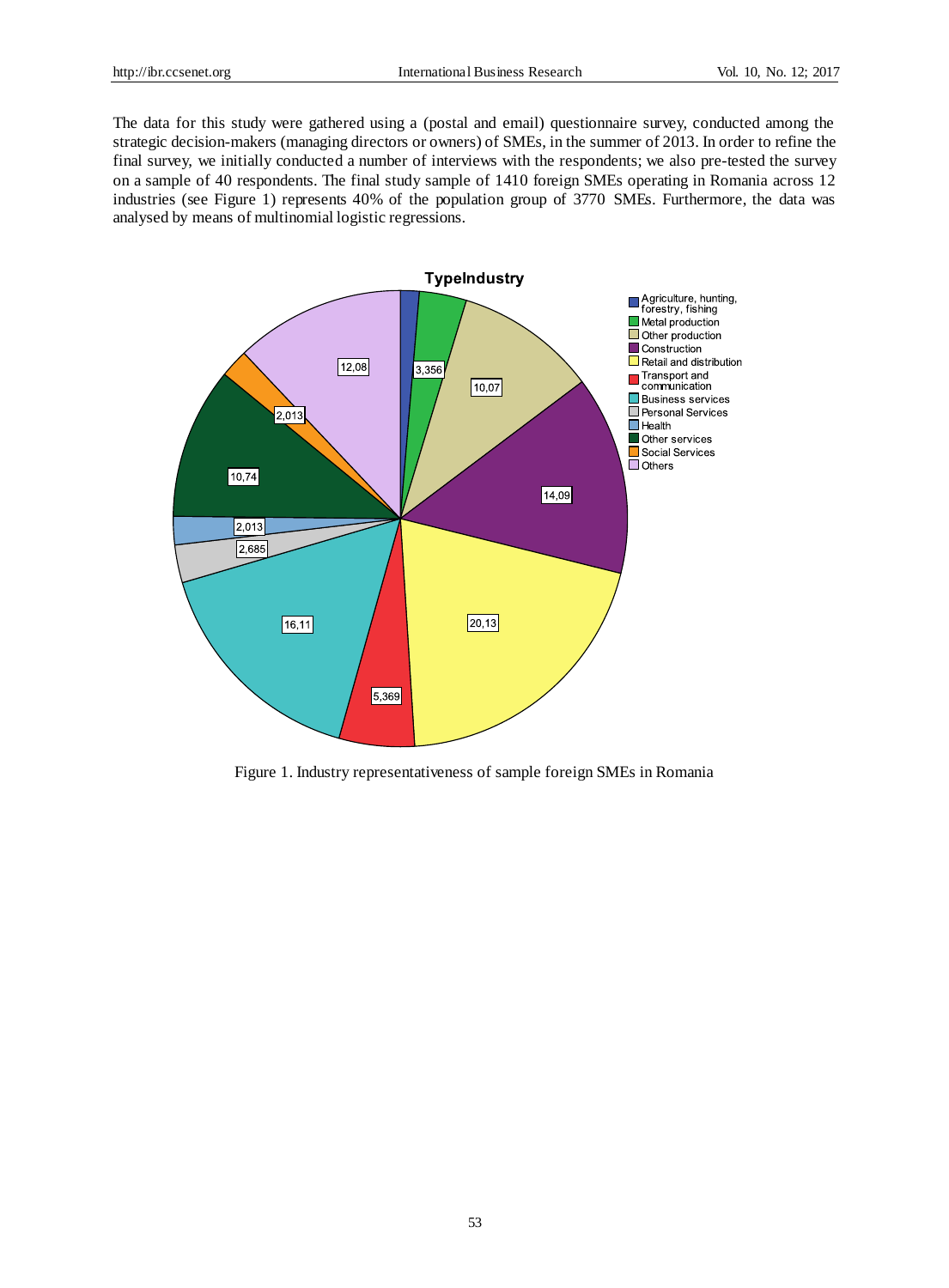The data for this study were gathered using a (postal and email) questionnaire survey, conducted among the strategic decision-makers (managing directors or owners) of SMEs, in the summer of 2013. In order to refine the final survey, we initially conducted a number of interviews with the respondents; we also pre-tested the survey on a sample of 40 respondents. The final study sample of 1410 foreign SMEs operating in Romania across 12 industries (see Figure 1) represents 40% of the population group of 3770 SMEs. Furthermore, the data was analysed by means of multinomial logistic regressions.



Figure 1. Industry representativeness of sample foreign SMEs in Romania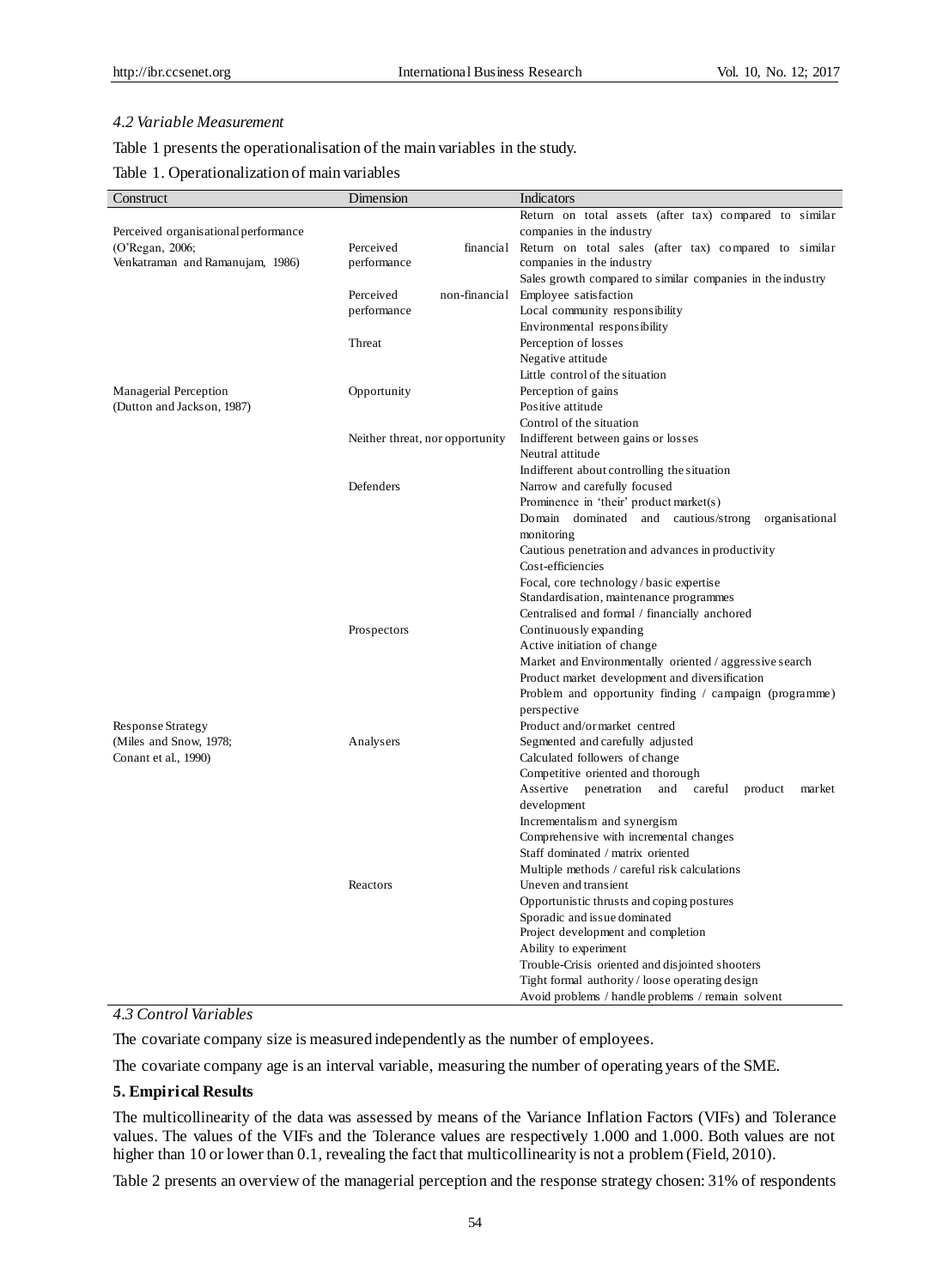#### *4.2 Variable Measurement*

Table 1 presents the operationalisation of the main variables in the study.

## Table 1. Operationalization of main variables

| Construct                            | Dimension                       | Indicators                                                                                        |
|--------------------------------------|---------------------------------|---------------------------------------------------------------------------------------------------|
|                                      |                                 | Return on total assets (after tax) compared to similar                                            |
| Perceived organisational performance |                                 | companies in the industry                                                                         |
| (O'Regan, 2006;                      | Perceived<br>financial          | Return on total sales (after tax) compared to similar                                             |
| Venkatraman and Ramanujam, 1986)     | performance                     | companies in the industry                                                                         |
|                                      |                                 | Sales growth compared to similar companies in the industry                                        |
|                                      | non-financial<br>Perceived      | Employee satisfaction                                                                             |
|                                      | performance                     | Local community responsibility                                                                    |
|                                      |                                 | Environmental responsibility                                                                      |
|                                      | Threat                          | Perception of losses                                                                              |
|                                      |                                 | Negative attitude                                                                                 |
|                                      |                                 | Little control of the situation                                                                   |
| Managerial Perception                | Opportunity                     | Perception of gains                                                                               |
| (Dutton and Jackson, 1987)           |                                 | Positive attitude                                                                                 |
|                                      |                                 | Control of the situation                                                                          |
|                                      | Neither threat, nor opportunity | Indifferent between gains or losses                                                               |
|                                      |                                 | Neutral attitude                                                                                  |
|                                      |                                 | Indifferent about controlling the situation                                                       |
|                                      | Defenders                       | Narrow and carefully focused                                                                      |
|                                      |                                 | Prominence in 'their' product market(s)                                                           |
|                                      |                                 | Domain dominated and cautious/strong<br>organisational                                            |
|                                      |                                 | monitoring                                                                                        |
|                                      |                                 | Cautious penetration and advances in productivity                                                 |
|                                      |                                 | Cost-efficiencies                                                                                 |
|                                      |                                 | Focal, core technology/basic expertise                                                            |
|                                      |                                 | Standardisation, maintenance programmes                                                           |
|                                      |                                 | Centralised and formal / financially anchored                                                     |
|                                      | Prospectors                     | Continuously expanding                                                                            |
|                                      |                                 | Active initiation of change                                                                       |
|                                      |                                 | Market and Environmentally oriented / aggressive search                                           |
|                                      |                                 |                                                                                                   |
|                                      |                                 | Product market development and diversification                                                    |
|                                      |                                 | Problem and opportunity finding / campaign (programme)                                            |
|                                      |                                 | perspective                                                                                       |
| Response Strategy                    |                                 | Product and/or market centred                                                                     |
| (Miles and Snow, 1978;               | Analysers                       | Segmented and carefully adjusted                                                                  |
| Conant et al., 1990)                 |                                 | Calculated followers of change                                                                    |
|                                      |                                 | Competitive oriented and thorough<br>Assertive penetration<br>and<br>careful<br>product<br>market |
|                                      |                                 | development                                                                                       |
|                                      |                                 |                                                                                                   |
|                                      |                                 | Incrementalism and synergism                                                                      |
|                                      |                                 | Comprehensive with incremental changes                                                            |
|                                      |                                 | Staff dominated / matrix oriented                                                                 |
|                                      | Reactors                        | Multiple methods / careful risk calculations                                                      |
|                                      |                                 | Uneven and transient                                                                              |
|                                      |                                 | Opportunistic thrusts and coping postures                                                         |
|                                      |                                 | Sporadic and issue dominated                                                                      |
|                                      |                                 | Project development and completion                                                                |
|                                      |                                 | Ability to experiment                                                                             |
|                                      |                                 | Trouble-Crisis oriented and disjointed shooters                                                   |
|                                      |                                 | Tight formal authority / loose operating design                                                   |
|                                      |                                 | Avoid problems / handle problems / remain solvent                                                 |

# *4.3 Control Variables*

The covariate company size is measured independently as the number of employees.

The covariate company age is an interval variable, measuring the number of operating years of the SME.

#### **5. Empirical Results**

The multicollinearity of the data was assessed by means of the Variance Inflation Factors (VIFs) and Tolerance values. The values of the VIFs and the Tolerance values are respectively 1.000 and 1.000. Both values are not higher than 10 or lower than 0.1, revealing the fact that multicollinearity is not a problem (Field, 2010).

Table 2 presents an overview of the managerial perception and the response strategy chosen: 31% of respondents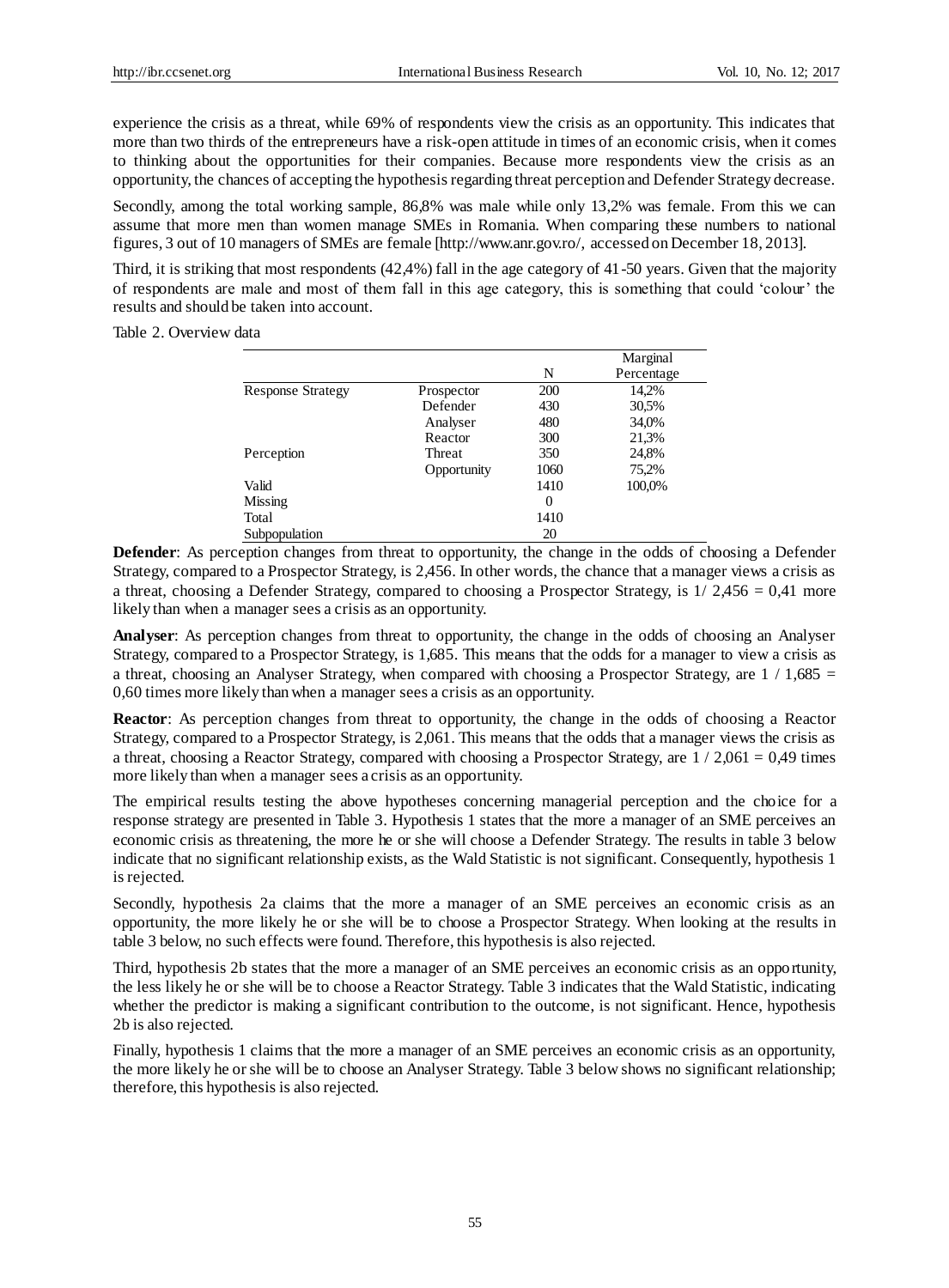experience the crisis as a threat, while 69% of respondents view the crisis as an opportunity. This indicates that more than two thirds of the entrepreneurs have a risk-open attitude in times of an economic crisis, when it comes to thinking about the opportunities for their companies. Because more respondents view the crisis as an opportunity, the chances of accepting the hypothesis regarding threat perception and Defender Strategy decrease.

Secondly, among the total working sample, 86,8% was male while only 13,2% was female. From this we can assume that more men than women manage SMEs in Romania. When comparing these numbers to national figures, 3 out of 10 managers of SMEs are female [http://www.anr.gov.ro/, accessed on December 18, 2013].

Third, it is striking that most respondents (42,4%) fall in the age category of 41-50 years. Given that the majority of respondents are male and most of them fall in this age category, this is something that could 'colour' the results and should be taken into account.

Table 2. Overview data

|                          |             |      | Marginal   |
|--------------------------|-------------|------|------------|
|                          |             | N    | Percentage |
| <b>Response Strategy</b> | Prospector  | 200  | 14,2%      |
|                          | Defender    | 430  | 30.5%      |
|                          | Analyser    | 480  | 34,0%      |
|                          | Reactor     | 300  | 21.3%      |
| Perception               | Threat      | 350  | 24,8%      |
|                          | Opportunity | 1060 | 75,2%      |
| Valid                    |             | 1410 | 100,0%     |
| Missing                  |             | 0    |            |
| Total                    |             | 1410 |            |
| Subpopulation            |             | 20   |            |

**Defender:** As perception changes from threat to opportunity, the change in the odds of choosing a Defender Strategy, compared to a Prospector Strategy, is 2,456. In other words, the chance that a manager views a crisis as a threat, choosing a Defender Strategy, compared to choosing a Prospector Strategy, is  $1/2,456 = 0,41$  more likely than when a manager sees a crisis as an opportunity.

**Analyser**: As perception changes from threat to opportunity, the change in the odds of choosing an Analyser Strategy, compared to a Prospector Strategy, is 1,685. This means that the odds for a manager to view a crisis as a threat, choosing an Analyser Strategy, when compared with choosing a Prospector Strategy, are  $1/1,685 =$ 0,60 times more likely than when a manager sees a crisis as an opportunity.

**Reactor**: As perception changes from threat to opportunity, the change in the odds of choosing a Reactor Strategy, compared to a Prospector Strategy, is 2,061. This means that the odds that a manager views the crisis as a threat, choosing a Reactor Strategy, compared with choosing a Prospector Strategy, are  $1/2,061 = 0,49$  times more likely than when a manager sees a crisis as an opportunity.

The empirical results testing the above hypotheses concerning managerial perception and the choice for a response strategy are presented in Table 3. Hypothesis 1 states that the more a manager of an SME perceives an economic crisis as threatening, the more he or she will choose a Defender Strategy. The results in table 3 below indicate that no significant relationship exists, as the Wald Statistic is not significant. Consequently, hypothesis 1 is rejected.

Secondly, hypothesis 2a claims that the more a manager of an SME perceives an economic crisis as an opportunity, the more likely he or she will be to choose a Prospector Strategy. When looking at the results in table 3 below, no such effects were found. Therefore, this hypothesis is also rejected.

Third, hypothesis 2b states that the more a manager of an SME perceives an economic crisis as an opportunity, the less likely he or she will be to choose a Reactor Strategy. Table 3 indicates that the Wald Statistic, indicating whether the predictor is making a significant contribution to the outcome, is not significant. Hence, hypothesis 2b is also rejected.

Finally, hypothesis 1 claims that the more a manager of an SME perceives an economic crisis as an opportunity, the more likely he or she will be to choose an Analyser Strategy. Table 3 below shows no significant relationship; therefore, this hypothesis is also rejected.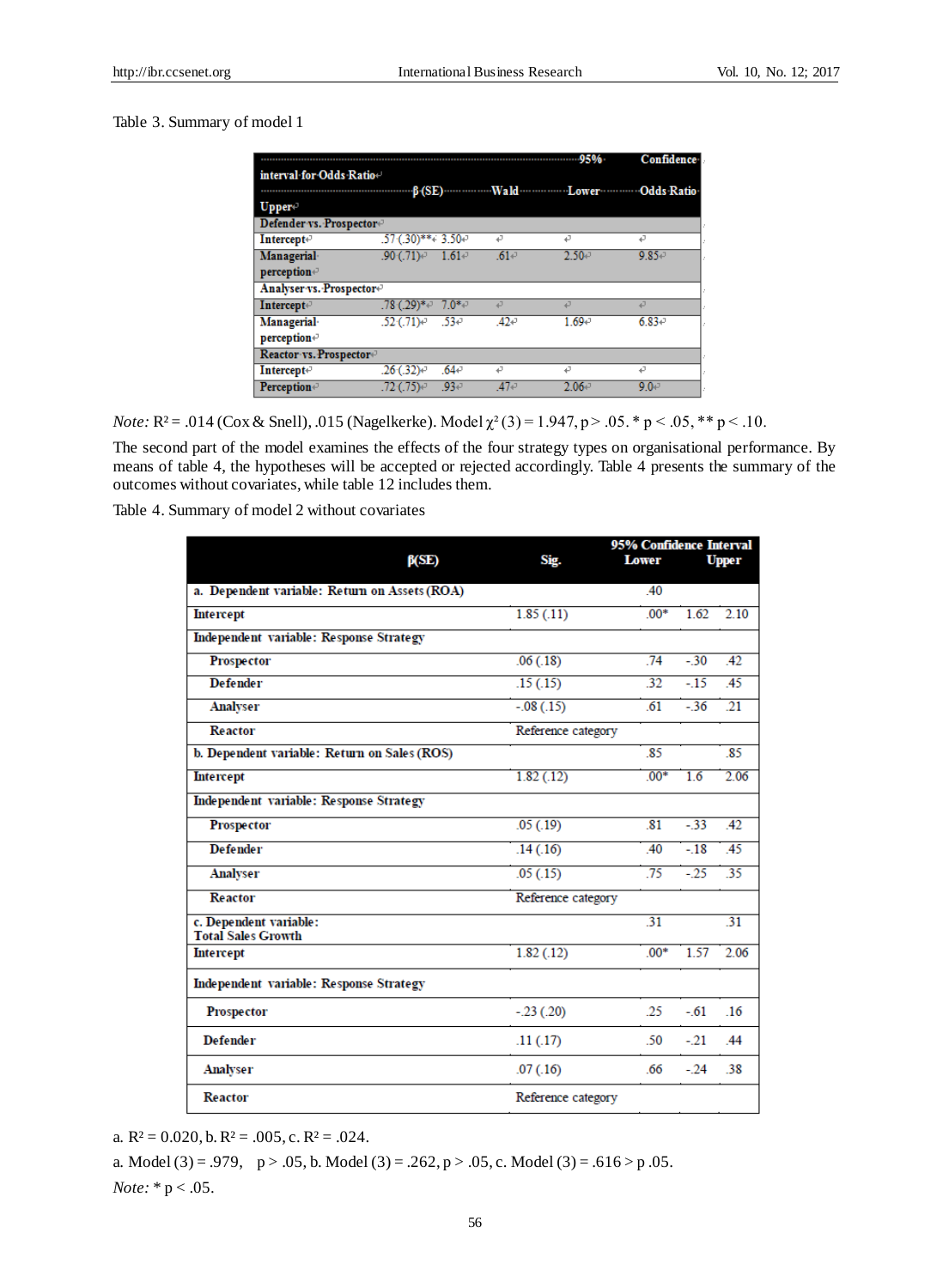# Table 3. Summary of model 1

|                                      |                               |                       | -95%                  | <b>Confidence</b> |
|--------------------------------------|-------------------------------|-----------------------|-----------------------|-------------------|
| interval for Odds Ratio+             |                               |                       |                       |                   |
|                                      | $\beta$ (SE)                  |                       | Wald Lower Odds Ratio |                   |
| Upper-                               |                               |                       |                       |                   |
| Defender vs. Prospector+             |                               |                       |                       |                   |
| Intercept+                           | $.57(.30)$ ** $.3.50$ $\cdot$ | تە                    | له                    | 47                |
| Managerial                           | $.90(0.71)$ <sup>o</sup>      | $.61+$<br>$1.61 \div$ | $2.50 +$              | $9.85 +$          |
| perception+                          |                               |                       |                       |                   |
| Analyser vs. Prospector <sup>®</sup> |                               |                       |                       |                   |
| <b>Intercept</b> <sup>{-1}</sup>     | $.78(.29)*$                   | $7.0*$<br>ت           | ت                     | ت                 |
| Managerial                           | $.52(.71)$ <sup>2</sup>       | $.53 -$<br>$.42 -$    | $1.69 +$              | $6.83 +$          |
| $perception \leftarrow$              |                               |                       |                       |                   |
| Reactor vs. Prospector+              |                               |                       |                       |                   |
| Intercept+                           | $.26(.32)$ <sup>o</sup>       | $.64 -$<br>P          | 47                    | ₽                 |
| <b>Perception</b> ®                  | .72 (.75) $\sigma$            | $.93 -$<br>$47 -$     | $2.06 +$              | 9.0 <sub>1</sub>  |

*Note:* **R** <sup>2</sup> = .014 (Cox & Snell), .015 (Nagelkerke). Model  $\chi^2(3)$  = 1.947, p > .05. \* p < .05, \*\* p < .10.

The second part of the model examines the effects of the four strategy types on organisational performance. By means of table 4, the hypotheses will be accepted or rejected accordingly. Table 4 presents the summary of the outcomes without covariates, while table 12 includes them.

Table 4. Summary of model 2 without covariates

|                                                     |                    | 95% Confidence Interval |       |              |
|-----------------------------------------------------|--------------------|-------------------------|-------|--------------|
| $\beta$ (SE)                                        | Sig.               | <b>Lower</b>            |       | <b>Upper</b> |
| a. Dependent variable: Return on Assets (ROA)       |                    | .40                     |       |              |
| <b>Intercept</b>                                    | 1.85(.11)          | $00*$                   | 1.62  | 2.10         |
| <b>Independent variable: Response Strategy</b>      |                    |                         |       |              |
| Prospector                                          | .06(.18)           | 74                      | $-30$ | 42           |
| <b>Defender</b>                                     | .15(.15)           | 32                      | $-15$ | .45          |
| <b>Analyser</b>                                     | $-.08(.15)$        | 61                      | $-36$ | 21           |
| <b>Reactor</b>                                      | Reference category |                         |       |              |
| b. Dependent variable: Return on Sales (ROS)        |                    | .85                     |       | 85           |
| <b>Intercept</b>                                    | 1.82(.12)          | $00*$                   | 1.6   | 2.06         |
| Independent variable: Response Strategy             |                    |                         |       |              |
| Prospector                                          | .05(.19)           | .81                     | $-33$ | .42          |
| <b>Defender</b>                                     | .14(.16)           | .40                     | $-18$ | .45          |
| <b>Analyser</b>                                     | .05(.15)           | 75                      | $-25$ | 35           |
| <b>Reactor</b>                                      | Reference category |                         |       |              |
| c. Dependent variable:<br><b>Total Sales Growth</b> |                    | 31                      |       | 31           |
| <b>Intercept</b>                                    | 1.82(.12)          | $00*$                   | 1.57  | 2.06         |
| Independent variable: Response Strategy             |                    |                         |       |              |
| <b>Prospector</b>                                   | $-.23(.20)$        | .25                     | $-61$ | 16           |
| <b>Defender</b>                                     | .11(.17)           | .50                     | $-21$ | 44           |
| <b>Analyser</b>                                     | .07(0.16)          | .66                     | $-24$ | .38          |
| <b>Reactor</b>                                      | Reference category |                         |       |              |

a. R  $2 = 0.020$ , b. R  $2 = .005$ , c. R  $2 = .024$ .

a. Model (3) = .979,  $p > .05$ , b. Model (3) = .262,  $p > .05$ , c. Model (3) = .616 > p .05. *Note:* \* p < .05.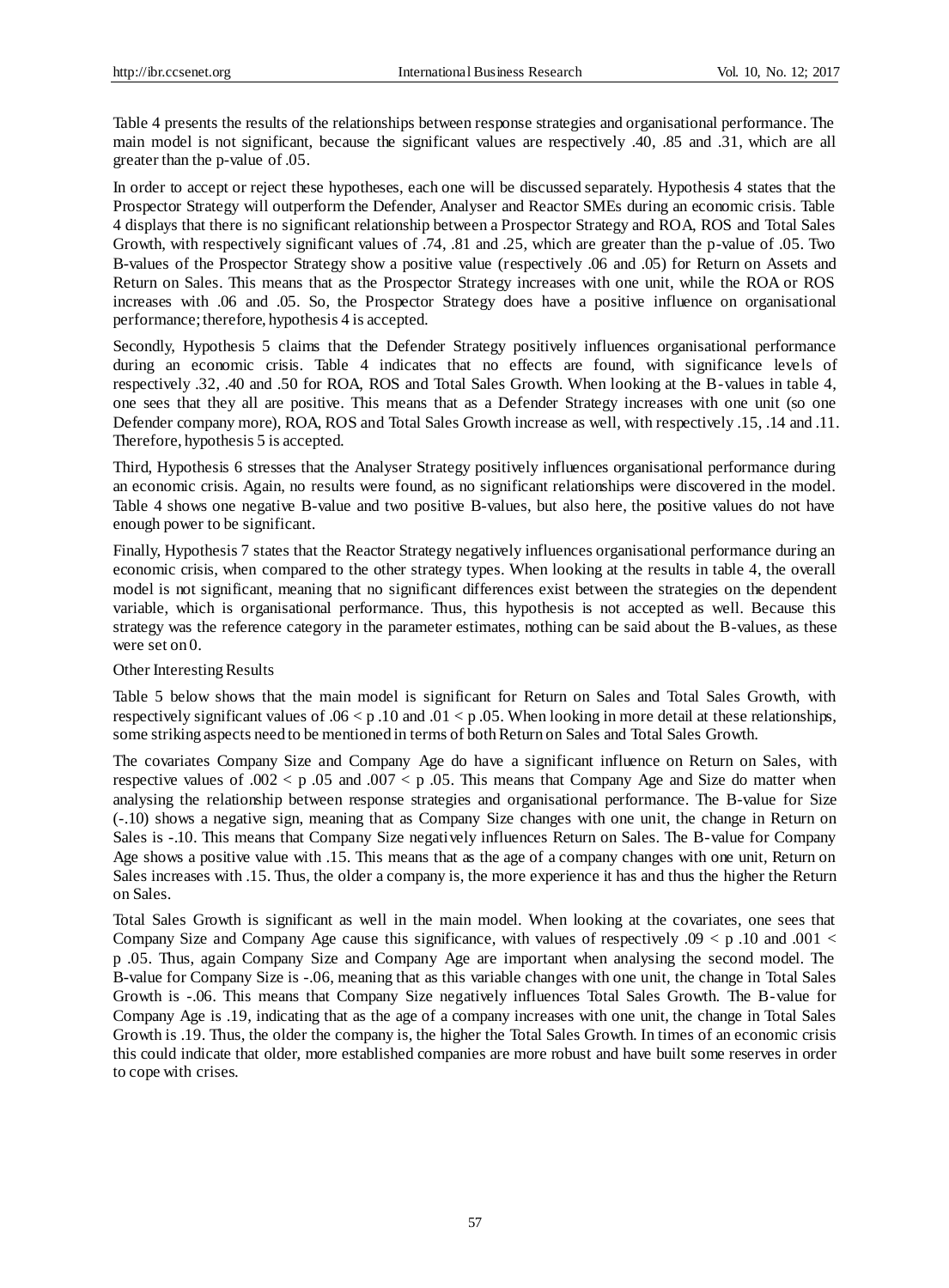Table 4 presents the results of the relationships between response strategies and organisational performance. The main model is not significant, because the significant values are respectively .40, .85 and .31, which are all greater than the p-value of .05.

In order to accept or reject these hypotheses, each one will be discussed separately. Hypothesis 4 states that the Prospector Strategy will outperform the Defender, Analyser and Reactor SMEs during an economic crisis. Table 4 displays that there is no significant relationship between a Prospector Strategy and ROA, ROS and Total Sales Growth, with respectively significant values of .74, .81 and .25, which are greater than the p-value of .05. Two B-values of the Prospector Strategy show a positive value (respectively .06 and .05) for Return on Assets and Return on Sales. This means that as the Prospector Strategy increases with one unit, while the ROA or ROS increases with .06 and .05. So, the Prospector Strategy does have a positive influence on organisational performance; therefore, hypothesis 4 is accepted.

Secondly, Hypothesis 5 claims that the Defender Strategy positively influences organisational performance during an economic crisis. Table 4 indicates that no effects are found, with significance levels of respectively .32, .40 and .50 for ROA, ROS and Total Sales Growth. When looking at the B-values in table 4, one sees that they all are positive. This means that as a Defender Strategy increases with one unit (so one Defender company more), ROA, ROS and Total Sales Growth increase as well, with respectively .15, .14 and .11. Therefore, hypothesis 5 is accepted.

Third, Hypothesis 6 stresses that the Analyser Strategy positively influences organisational performance during an economic crisis. Again, no results were found, as no significant relationships were discovered in the model. Table 4 shows one negative B-value and two positive B-values, but also here, the positive values do not have enough power to be significant.

Finally, Hypothesis 7 states that the Reactor Strategy negatively influences organisational performance during an economic crisis, when compared to the other strategy types. When looking at the results in table 4, the overall model is not significant, meaning that no significant differences exist between the strategies on the dependent variable, which is organisational performance. Thus, this hypothesis is not accepted as well. Because this strategy was the reference category in the parameter estimates, nothing can be said about the B-values, as these were set on 0.

#### Other Interesting Results

Table 5 below shows that the main model is significant for Return on Sales and Total Sales Growth, with respectively significant values of .06  $\lt p$  .10 and .01  $\lt p$  .05. When looking in more detail at these relationships, some striking aspects need to be mentioned in terms of both Return on Sales and Total Sales Growth.

The covariates Company Size and Company Age do have a significant influence on Return on Sales, with respective values of  $.002 < p.05$  and  $.007 < p.05$ . This means that Company Age and Size do matter when analysing the relationship between response strategies and organisational performance. The B-value for Size (-.10) shows a negative sign, meaning that as Company Size changes with one unit, the change in Return on Sales is -.10. This means that Company Size negatively influences Return on Sales. The B-value for Company Age shows a positive value with .15. This means that as the age of a company changes with one unit, Return on Sales increases with .15. Thus, the older a company is, the more experience it has and thus the higher the Return on Sales.

Total Sales Growth is significant as well in the main model. When looking at the covariates, one sees that Company Size and Company Age cause this significance, with values of respectively .09  $\lt p$  .10 and .001  $\lt$ p .05. Thus, again Company Size and Company Age are important when analysing the second model. The B-value for Company Size is -.06, meaning that as this variable changes with one unit, the change in Total Sales Growth is -.06. This means that Company Size negatively influences Total Sales Growth. The B-value for Company Age is .19, indicating that as the age of a company increases with one unit, the change in Total Sales Growth is .19. Thus, the older the company is, the higher the Total Sales Growth. In times of an economic crisis this could indicate that older, more established companies are more robust and have built some reserves in order to cope with crises.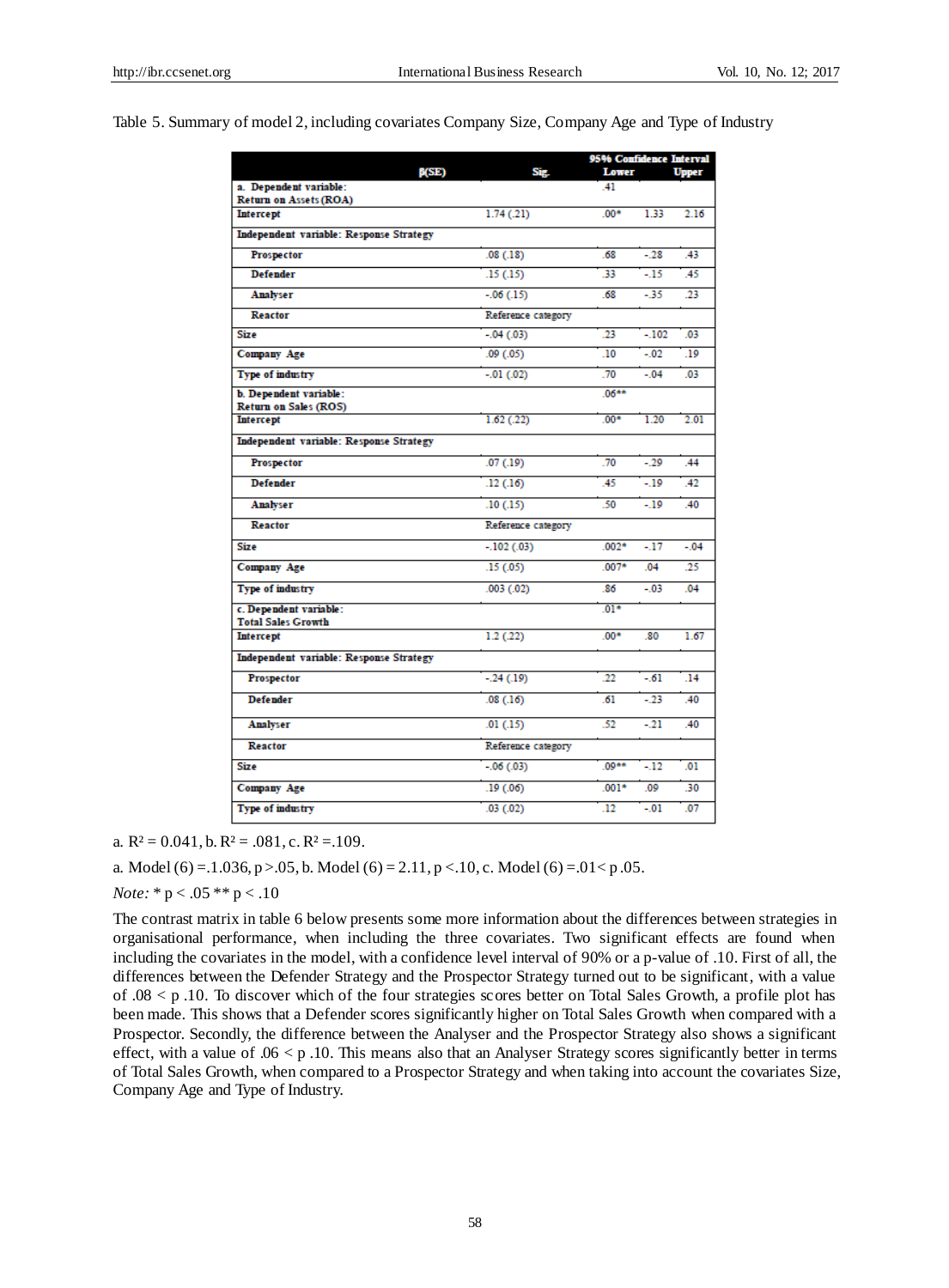## Table 5. Summary of model 2, including covariates Company Size, Company Age and Type of Industry

|                                                         |                    | 95% Confidence Interval |         |              |
|---------------------------------------------------------|--------------------|-------------------------|---------|--------------|
| B(SE)                                                   | Sig.               | Lower<br>41             |         | <b>Upper</b> |
| a. Dependent variable:<br><b>Return on Assets (ROA)</b> |                    |                         |         |              |
| <b>Intercept</b>                                        | 1.74(.21)          | $00*$                   | 1.33    | 2.16         |
| <b>Independent variable: Response Strategy</b>          |                    |                         |         |              |
| Prospector                                              | .08(.18)           | .68                     | $-28$   | .43          |
| <b>Defender</b>                                         | .15(.15)           | 33                      | $-15$   | .45          |
| Analyser                                                | $-.06(.15)$        | .68                     | $-35$   | 23           |
| Reactor                                                 | Reference category |                         |         |              |
| <b>Size</b>                                             | $-.04(.03)$        | 23                      | $-102$  | .03          |
| Company Age                                             | .09(0.05)          | .10                     | $-0.02$ | .19          |
| Type of industry                                        | $-.01(.02)$        | .70                     | $-04$   | .03          |
| b. Dependent variable:                                  |                    | 06**                    |         |              |
| Return on Sales (ROS)<br><b>Intercept</b>               | 1.62(0.22)         | $.00*$                  | 1.20    | 2.01         |
| <b>Independent variable: Response Strategy</b>          |                    |                         |         |              |
|                                                         |                    |                         |         |              |
| Prospector                                              | .07(0.19)          | .70                     | $-29$   | .44          |
| <b>Defender</b>                                         | .12(.16)           | 45                      | $-19$   | .42          |
| Analyser                                                | .10(.15)           | .50                     | $-19$   | .40          |
| Reactor                                                 | Reference category |                         |         |              |
| <b>Size</b>                                             | $-.102(.03)$       | $.002*$                 | $-17$   | $-04$        |
| Company Age                                             | .15(0.05)          | $.007*$                 | .04     | .25          |
| Type of industry                                        | .003(.02)          | .86                     | $-0.03$ | 04           |
| c. Dependent variable:                                  |                    | $.01*$                  |         |              |
| <b>Total Sales Growth</b><br><b>Intercept</b>           | 1.2(22)            | $.00*$                  | .80     | 1.67         |
| <b>Independent variable: Response Strategy</b>          |                    |                         |         |              |
| Prospector                                              | $-.24(.19)$        | 22                      | - 61    | .14          |
| <b>Defender</b>                                         | .08(.16)           | .61                     | $-23$   | .40          |
|                                                         |                    |                         |         |              |
| Analyser                                                | .01(.15)           | .52                     | $-21$   | .40          |
| Reactor                                                 | Reference category |                         |         |              |
| <b>Size</b>                                             | $-.06(.03)$        | $.09**$                 | $-12$   | .01          |
| <b>Company Age</b>                                      | .19(0.06)          | $.001*$                 | .09     | .30          |
| Type of industry                                        | .03(0.02)          | 12                      | $-01$   | 07           |

a. R  $\approx$  0.041, b. R  $\approx$  0.081, c. R  $\approx$  1.09.

a. Model (6) = .1.036, p > .05, b. Model (6) = 2.11, p < .10, c. Model (6) = .01 < p .05.

*Note:* \* p < .05 \*\* p < .10

The contrast matrix in table 6 below presents some more information about the differences between strategies in organisational performance, when including the three covariates. Two significant effects are found when including the covariates in the model, with a confidence level interval of 90% or a p-value of .10. First of all, the differences between the Defender Strategy and the Prospector Strategy turned out to be significant, with a value of .08 < p .10. To discover which of the four strategies scores better on Total Sales Growth, a profile plot has been made. This shows that a Defender scores significantly higher on Total Sales Growth when compared with a Prospector. Secondly, the difference between the Analyser and the Prospector Strategy also shows a significant effect, with a value of  $.06 < p$ . 10. This means also that an Analyser Strategy scores significantly better in terms of Total Sales Growth, when compared to a Prospector Strategy and when taking into account the covariates Size, Company Age and Type of Industry.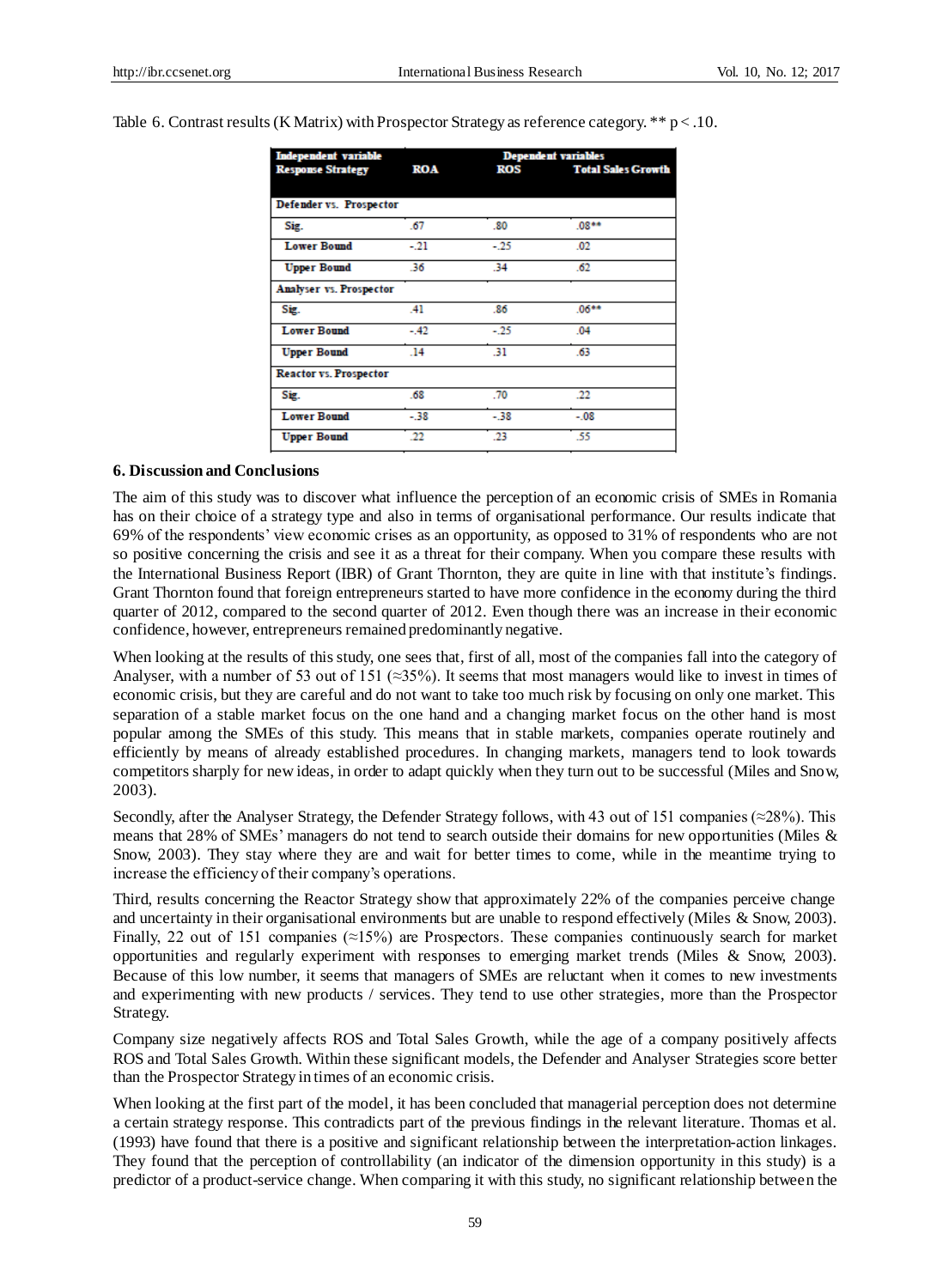Table 6. Contrast results (K Matrix) with Prospector Strategy as reference category. \*\* p < .10.

| <b>Independent variable</b>   | <b>Dependent variables</b> |       |                           |
|-------------------------------|----------------------------|-------|---------------------------|
| <b>Response Strategy</b>      | <b>ROA</b>                 | ROS   | <b>Total Sales Growth</b> |
|                               |                            |       |                           |
| Defender vs. Prospector       |                            |       |                           |
| Sig.                          | .67                        | .80   | $.08**$                   |
| <b>Lower Bound</b>            | $-21$                      | $-25$ | .02                       |
| <b>Upper Bound</b>            | .36                        | .34   | .62                       |
| Analyser vs. Prospector       |                            |       |                           |
| Sig.                          | A <sub>1</sub>             | .86   | $.06**$                   |
| <b>Lower Bound</b>            | $-.42$                     | $-25$ | .04                       |
| <b>Upper Bound</b>            | .14                        | 31    | .63                       |
| <b>Reactor vs. Prospector</b> |                            |       |                           |
| Sig.                          | .68                        | .70   | .22                       |
| <b>Lower Bound</b>            | $-38$                      | $-38$ | $-0.08$                   |
| <b>Upper Bound</b>            | 22                         | .23   | .55                       |

#### **6. Discussion and Conclusions**

The aim of this study was to discover what influence the perception of an economic crisis of SMEs in Romania has on their choice of a strategy type and also in terms of organisational performance. Our results indicate that 69% of the respondents' view economic crises as an opportunity, as opposed to 31% of respondents who are not so positive concerning the crisis and see it as a threat for their company. When you compare these results with the International Business Report (IBR) of Grant Thornton, they are quite in line with that institute's findings. Grant Thornton found that foreign entrepreneurs started to have more confidence in the economy during the third quarter of 2012, compared to the second quarter of 2012. Even though there was an increase in their economic confidence, however, entrepreneurs remained predominantly negative.

When looking at the results of this study, one sees that, first of all, most of the companies fall into the category of Analyser, with a number of 53 out of 151 (≈35%). It seems that most managers would like to invest in times of economic crisis, but they are careful and do not want to take too much risk by focusing on only one market. This separation of a stable market focus on the one hand and a changing market focus on the other hand is most popular among the SMEs of this study. This means that in stable markets, companies operate routinely and efficiently by means of already established procedures. In changing markets, managers tend to look towards competitors sharply for new ideas, in order to adapt quickly when they turn out to be successful (Miles and Snow, 2003).

Secondly, after the Analyser Strategy, the Defender Strategy follows, with 43 out of 151 companies (≈28%). This means that 28% of SMEs' managers do not tend to search outside their domains for new opportunities (Miles & Snow, 2003). They stay where they are and wait for better times to come, while in the meantime trying to increase the efficiency of their company's operations.

Third, results concerning the Reactor Strategy show that approximately 22% of the companies perceive change and uncertainty in their organisational environments but are unable to respond effectively (Miles & Snow, 2003). Finally, 22 out of 151 companies (≈15%) are Prospectors. These companies continuously search for market opportunities and regularly experiment with responses to emerging market trends (Miles & Snow, 2003). Because of this low number, it seems that managers of SMEs are reluctant when it comes to new investments and experimenting with new products / services. They tend to use other strategies, more than the Prospector Strategy.

Company size negatively affects ROS and Total Sales Growth, while the age of a company positively affects ROS and Total Sales Growth. Within these significant models, the Defender and Analyser Strategies score better than the Prospector Strategy in times of an economic crisis.

When looking at the first part of the model, it has been concluded that managerial perception does not determine a certain strategy response. This contradicts part of the previous findings in the relevant literature. Thomas et al. (1993) have found that there is a positive and significant relationship between the interpretation-action linkages. They found that the perception of controllability (an indicator of the dimension opportunity in this study) is a predictor of a product-service change. When comparing it with this study, no significant relationship between the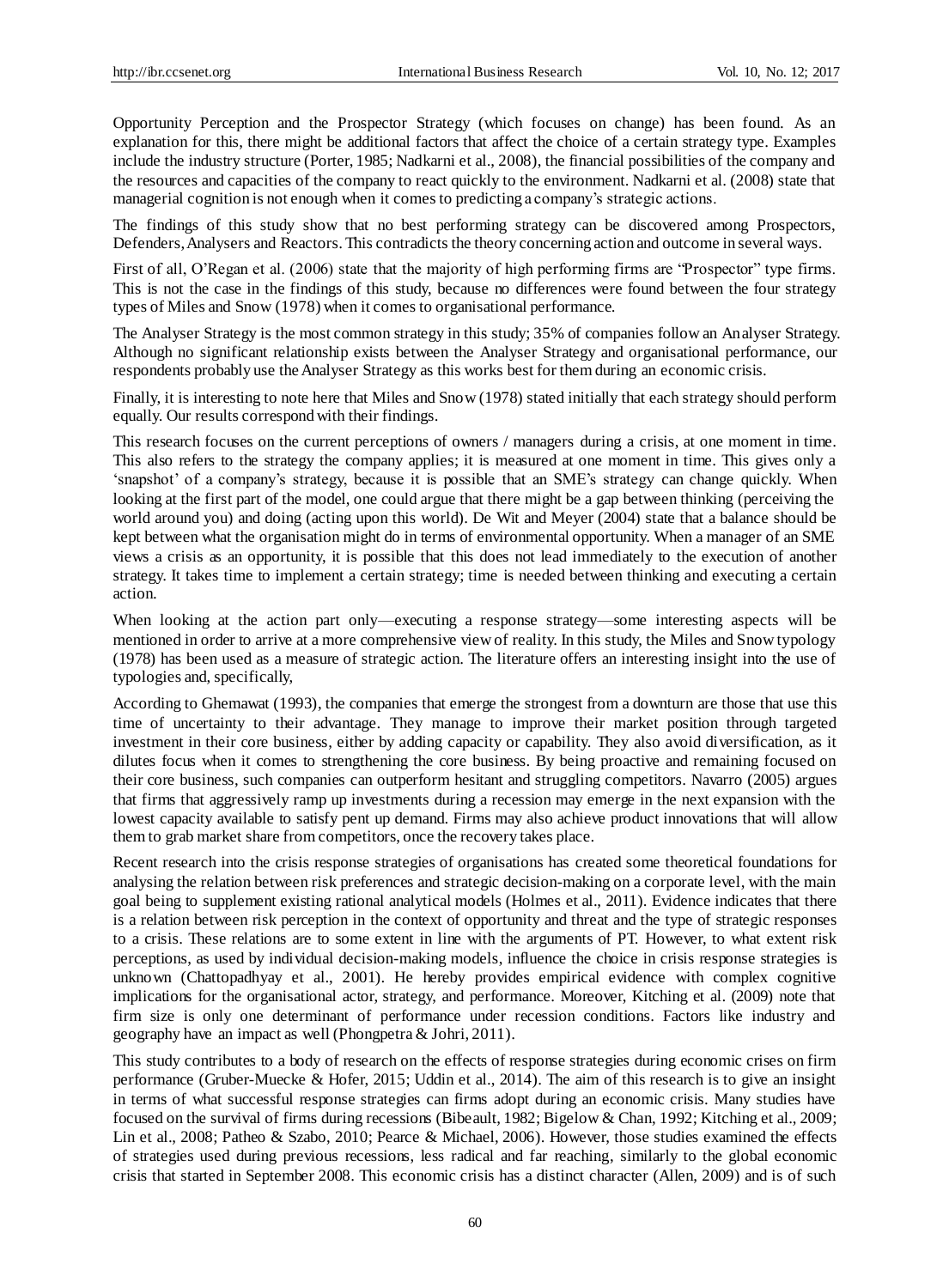Opportunity Perception and the Prospector Strategy (which focuses on change) has been found. As an explanation for this, there might be additional factors that affect the choice of a certain strategy type. Examples include the industry structure (Porter, 1985; Nadkarni et al., 2008), the financial possibilities of the company and the resources and capacities of the company to react quickly to the environment. Nadkarni et al. (2008) state that managerial cognition is not enough when it comes to predicting a company's strategic actions.

The findings of this study show that no best performing strategy can be discovered among Prospectors, Defenders, Analysers and Reactors. This contradicts the theory concerning action and outcome in several ways.

First of all, O'Regan et al. (2006) state that the majority of high performing firms are "Prospector" type firms. This is not the case in the findings of this study, because no differences were found between the four strategy types of Miles and Snow (1978) when it comes to organisational performance.

The Analyser Strategy is the most common strategy in this study; 35% of companies follow an Analyser Strategy. Although no significant relationship exists between the Analyser Strategy and organisational performance, our respondents probably use the Analyser Strategy as this works best for them during an economic crisis.

Finally, it is interesting to note here that Miles and Snow (1978) stated initially that each strategy should perform equally. Our results correspond with their findings.

This research focuses on the current perceptions of owners / managers during a crisis, at one moment in time. This also refers to the strategy the company applies; it is measured at one moment in time. This gives only a 'snapshot' of a company's strategy, because it is possible that an SME's strategy can change quickly. When looking at the first part of the model, one could argue that there might be a gap between thinking (perceiving the world around you) and doing (acting upon this world). De Wit and Meyer (2004) state that a balance should be kept between what the organisation might do in terms of environmental opportunity. When a manager of an SME views a crisis as an opportunity, it is possible that this does not lead immediately to the execution of another strategy. It takes time to implement a certain strategy; time is needed between thinking and executing a certain action.

When looking at the action part only—executing a response strategy—some interesting aspects will be mentioned in order to arrive at a more comprehensive view of reality. In this study, the Miles and Snow typology (1978) has been used as a measure of strategic action. The literature offers an interesting insight into the use of typologies and, specifically,

According to Ghemawat (1993), the companies that emerge the strongest from a downturn are those that use this time of uncertainty to their advantage. They manage to improve their market position through targeted investment in their core business, either by adding capacity or capability. They also avoid diversification, as it dilutes focus when it comes to strengthening the core business. By being proactive and remaining focused on their core business, such companies can outperform hesitant and struggling competitors. Navarro (2005) argues that firms that aggressively ramp up investments during a recession may emerge in the next expansion with the lowest capacity available to satisfy pent up demand. Firms may also achieve product innovations that will allow them to grab market share from competitors, once the recovery takes place.

Recent research into the crisis response strategies of organisations has created some theoretical foundations for analysing the relation between risk preferences and strategic decision-making on a corporate level, with the main goal being to supplement existing rational analytical models (Holmes et al., 2011). Evidence indicates that there is a relation between risk perception in the context of opportunity and threat and the type of strategic responses to a crisis. These relations are to some extent in line with the arguments of PT. However, to what extent risk perceptions, as used by individual decision-making models, influence the choice in crisis response strategies is unknown (Chattopadhyay et al., 2001). He hereby provides empirical evidence with complex cognitive implications for the organisational actor, strategy, and performance. Moreover, Kitching et al. (2009) note that firm size is only one determinant of performance under recession conditions. Factors like industry and geography have an impact as well (Phongpetra & Johri, 2011).

This study contributes to a body of research on the effects of response strategies during economic crises on firm performance (Gruber-Muecke & Hofer, 2015; Uddin et al., 2014). The aim of this research is to give an insight in terms of what successful response strategies can firms adopt during an economic crisis. Many studies have focused on the survival of firms during recessions (Bibeault, 1982; Bigelow & Chan, 1992; Kitching et al., 2009; Lin et al., 2008; Patheo & Szabo, 2010; Pearce & Michael, 2006). However, those studies examined the effects of strategies used during previous recessions, less radical and far reaching, similarly to the global economic crisis that started in September 2008. This economic crisis has a distinct character (Allen, 2009) and is of such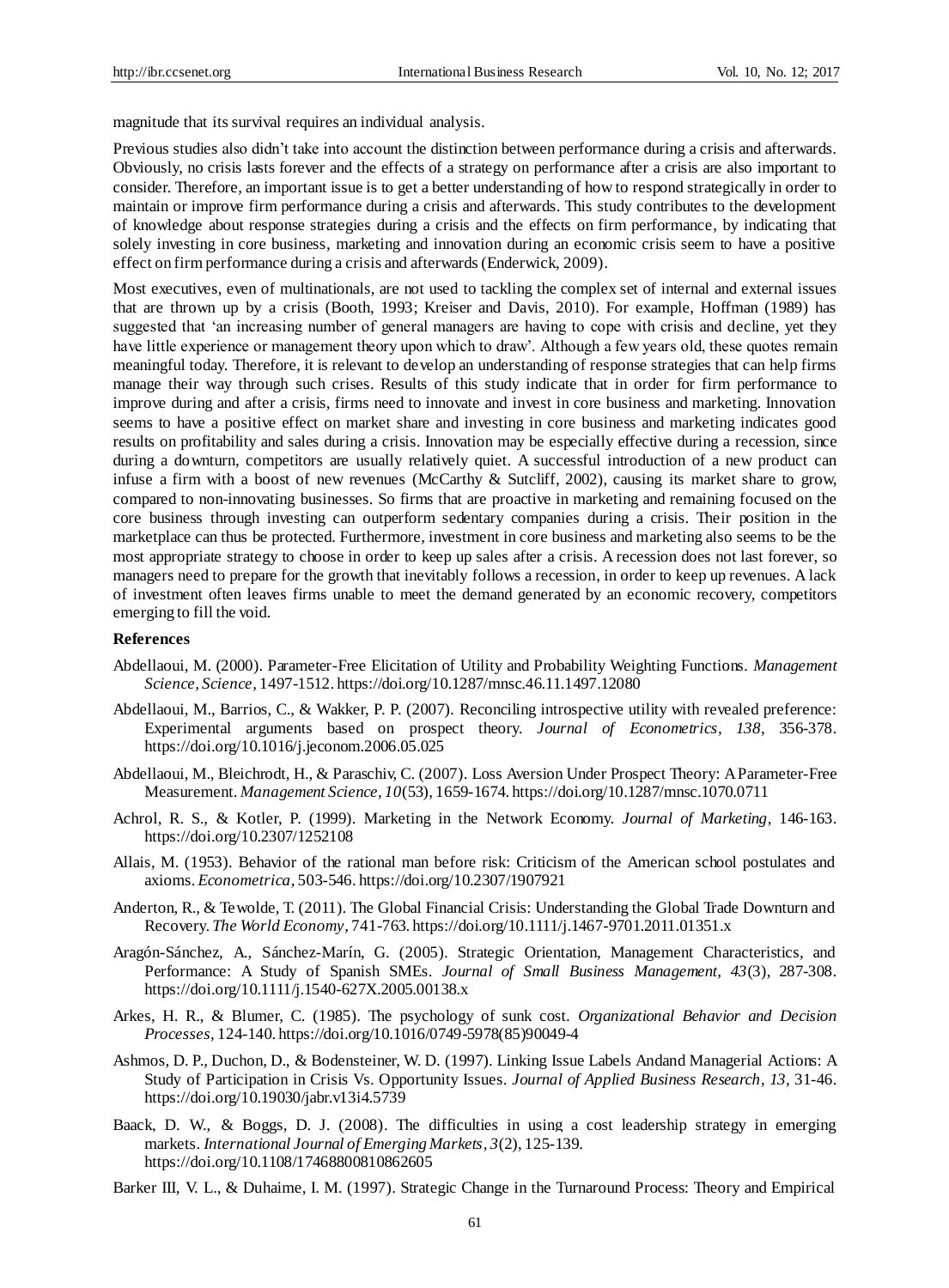magnitude that its survival requires an individual analysis.

Previous studies also didn't take into account the distinction between performance during a crisis and afterwards. Obviously, no crisis lasts forever and the effects of a strategy on performance after a crisis are also important to consider. Therefore, an important issue is to get a better understanding of how to respond strategically in order to maintain or improve firm performance during a crisis and afterwards. This study contributes to the development of knowledge about response strategies during a crisis and the effects on firm performance, by indicating that solely investing in core business, marketing and innovation during an economic crisis seem to have a positive effect on firm performance during a crisis and afterwards (Enderwick, 2009).

Most executives, even of multinationals, are not used to tackling the complex set of internal and external issues that are thrown up by a crisis (Booth, 1993; Kreiser and Davis, 2010). For example, Hoffman (1989) has suggested that 'an increasing number of general managers are having to cope with crisis and decline, yet they have little experience or management theory upon which to draw'. Although a few years old, these quotes remain meaningful today. Therefore, it is relevant to develop an understanding of response strategies that can help firms manage their way through such crises. Results of this study indicate that in order for firm performance to improve during and after a crisis, firms need to innovate and invest in core business and marketing. Innovation seems to have a positive effect on market share and investing in core business and marketing indicates good results on profitability and sales during a crisis. Innovation may be especially effective during a recession, since during a downturn, competitors are usually relatively quiet. A successful introduction of a new product can infuse a firm with a boost of new revenues (McCarthy & Sutcliff, 2002), causing its market share to grow, compared to non-innovating businesses. So firms that are proactive in marketing and remaining focused on the core business through investing can outperform sedentary companies during a crisis. Their position in the marketplace can thus be protected. Furthermore, investment in core business and marketing also seems to be the most appropriate strategy to choose in order to keep up sales after a crisis. A recession does not last forever, so managers need to prepare for the growth that inevitably follows a recession, in order to keep up revenues. A lack of investment often leaves firms unable to meet the demand generated by an economic recovery, competitors emerging to fill the void.

#### **References**

- Abdellaoui, M. (2000). Parameter-Free Elicitation of Utility and Probability Weighting Functions. *Management Science, Science,* 1497-1512. https://doi.org/10.1287/mnsc.46.11.1497.12080
- Abdellaoui, M., Barrios, C., & Wakker, P. P. (2007). Reconciling introspective utility with revealed preference: Experimental arguments based on prospect theory. *Journal of Econometrics, 138*, 356-378. https://doi.org/10.1016/j.jeconom.2006.05.025
- Abdellaoui, M., Bleichrodt, H., & Paraschiv, C. (2007). Loss Aversion Under Prospect Theory: A Parameter-Free Measurement. *Management Science, 10*(53), 1659-1674. https://doi.org/10.1287/mnsc.1070.0711
- Achrol, R. S., & Kotler, P. (1999). Marketing in the Network Economy. *Journal of Marketing*, 146-163. https://doi.org/10.2307/1252108
- Allais, M. (1953). Behavior of the rational man before risk: Criticism of the American school postulates and axioms. *Econometrica*, 503-546. https://doi.org/10.2307/1907921
- Anderton, R., & Tewolde, T. (2011). The Global Financial Crisis: Understanding the Global Trade Downturn and Recovery. *The World Economy*, 741-763. https://doi.org/10.1111/j.1467-9701.2011.01351.x
- Aragón-Sánchez, A., Sánchez-Marín, G. (2005). Strategic Orientation, Management Characteristics, and Performance: A Study of Spanish SMEs. *Journal of Small Business Management, 43*(3), 287-308. https://doi.org/10.1111/j.1540-627X.2005.00138.x
- Arkes, H. R., & Blumer, C. (1985). The psychology of sunk cost. *Organizational Behavior and Decision Processes*, 124-140. https://doi.org/10.1016/0749-5978(85)90049-4
- Ashmos, D. P., Duchon, D., & Bodensteiner, W. D. (1997). Linking Issue Labels Andand Managerial Actions: A Study of Participation in Crisis Vs. Opportunity Issues. *Journal of Applied Business Research*, *13*, 31-46. https://doi.org/10.19030/jabr.v13i4.5739
- Baack, D. W., & Boggs, D. J. (2008). The difficulties in using a cost leadership strategy in emerging markets. *International Journal of Emerging Markets, 3*(2), 125-139. https://doi.org/10.1108/17468800810862605
- Barker III, V. L., & Duhaime, I. M. (1997). Strategic Change in the Turnaround Process: Theory and Empirical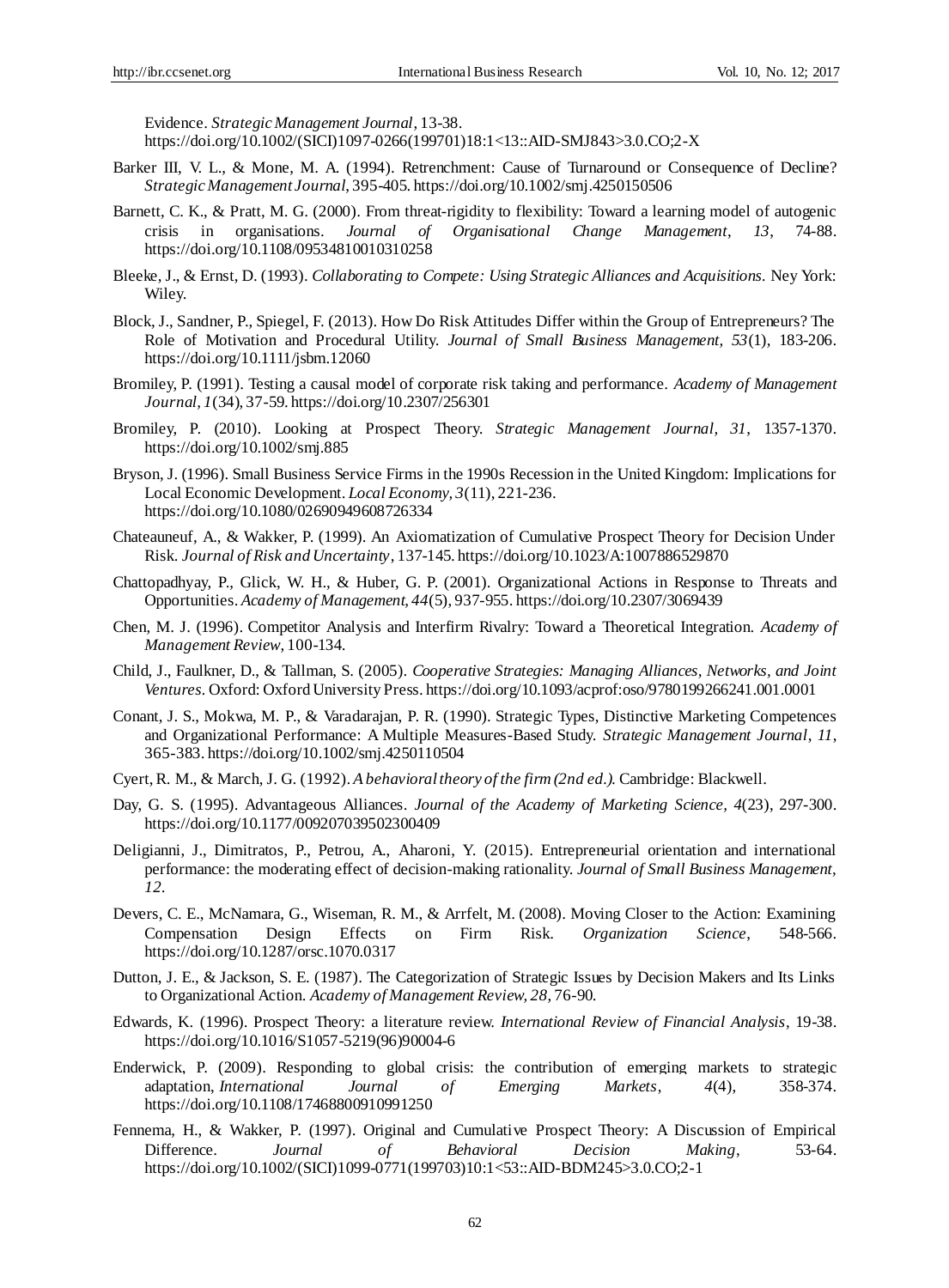Evidence. *Strategic Management Journal*, 13-38.

https://doi.org/10.1002/(SICI)1097-0266(199701)18:1<13::AID-SMJ843>3.0.CO;2-X

- Barker III, V. L., & Mone, M. A. (1994). Retrenchment: Cause of Turnaround or Consequence of Decline? *Strategic Management Journal*, 395-405. https://doi.org/10.1002/smj.4250150506
- Barnett, C. K., & Pratt, M. G. (2000). From threat-rigidity to flexibility: Toward a learning model of autogenic crisis in organisations. *Journal of Organisational Change Management*, *13*, 74-88. https://doi.org/10.1108/09534810010310258
- Bleeke, J., & Ernst, D. (1993). *Collaborating to Compete: Using Strategic Alliances and Acquisitions.* Ney York: Wiley.
- Block, J., Sandner, P., Spiegel, F. (2013). How Do Risk Attitudes Differ within the Group of Entrepreneurs? The Role of Motivation and Procedural Utility. *Journal of Small Business Management, 53*(1), 183-206. https://doi.org/10.1111/jsbm.12060
- Bromiley, P. (1991). Testing a causal model of corporate risk taking and performance. *Academy of Management Journal, 1*(34), 37-59. https://doi.org/10.2307/256301
- Bromiley, P. (2010). Looking at Prospect Theory. *Strategic Management Journal, 31*, 1357-1370. https://doi.org/10.1002/smj.885
- Bryson, J. (1996). Small Business Service Firms in the 1990s Recession in the United Kingdom: Implications for Local Economic Development. *Local Economy, 3*(11), 221-236. https://doi.org/10.1080/02690949608726334
- Chateauneuf, A., & Wakker, P. (1999). An Axiomatization of Cumulative Prospect Theory for Decision Under Risk. *Journal of Risk and Uncertainty*, 137-145. https://doi.org/10.1023/A:1007886529870
- Chattopadhyay, P., Glick, W. H., & Huber, G. P. (2001). Organizational Actions in Response to Threats and Opportunities. *Academy of Management, 44*(5), 937-955. https://doi.org/10.2307/3069439
- Chen, M. J. (1996). Competitor Analysis and Interfirm Rivalry: Toward a Theoretical Integration. *Academy of Management Review*, 100-134.
- Child, J., Faulkner, D., & Tallman, S. (2005). *Cooperative Strategies: Managing Alliances, Networks, and Joint Ventures.* Oxford: Oxford University Press. https://doi.org/10.1093/acprof:oso/9780199266241.001.0001
- Conant, J. S., Mokwa, M. P., & Varadarajan, P. R. (1990). Strategic Types, Distinctive Marketing Competences and Organizational Performance: A Multiple Measures-Based Study. *Strategic Management Journal*, *11*, 365-383. https://doi.org/10.1002/smj.4250110504
- Cyert, R. M., & March, J. G. (1992). *A behavioral theory of the firm (2nd ed.).* Cambridge: Blackwell.
- Day, G. S. (1995). Advantageous Alliances. *Journal of the Academy of Marketing Science, 4*(23), 297-300. https://doi.org/10.1177/009207039502300409
- Deligianni, J., Dimitratos, P., Petrou, A., Aharoni, Y. (2015). Entrepreneurial orientation and international performance: the moderating effect of decision-making rationality. *Journal of Small Business Management, 12.*
- Devers, C. E., McNamara, G., Wiseman, R. M., & Arrfelt, M. (2008). Moving Closer to the Action: Examining Compensation Design Effects on Firm Risk. *Organization Science*, 548-566. https://doi.org/10.1287/orsc.1070.0317
- Dutton, J. E., & Jackson, S. E. (1987). The Categorization of Strategic Issues by Decision Makers and Its Links to Organizational Action. *Academy of Management Review, 28*, 76-90.
- Edwards, K. (1996). Prospect Theory: a literature review. *International Review of Financial Analysis*, 19-38. https://doi.org/10.1016/S1057-5219(96)90004-6
- [Enderwick,](http://www.emeraldinsight.com/action/doSearch?ContribStored=Enderwick%2C+P) P. (2009). Responding to global crisis: the contribution of emerging markets to strategic adaptation, *International Journal of Emerging Markets*, *4*(4), 358-374. https://doi.org/10.1108/17468800910991250
- Fennema, H., & Wakker, P. (1997). Original and Cumulative Prospect Theory: A Discussion of Empirical Difference. *Journal of Behavioral Decision Making*, 53-64. https://doi.org/10.1002/(SICI)1099-0771(199703)10:1<53::AID-BDM245>3.0.CO;2-1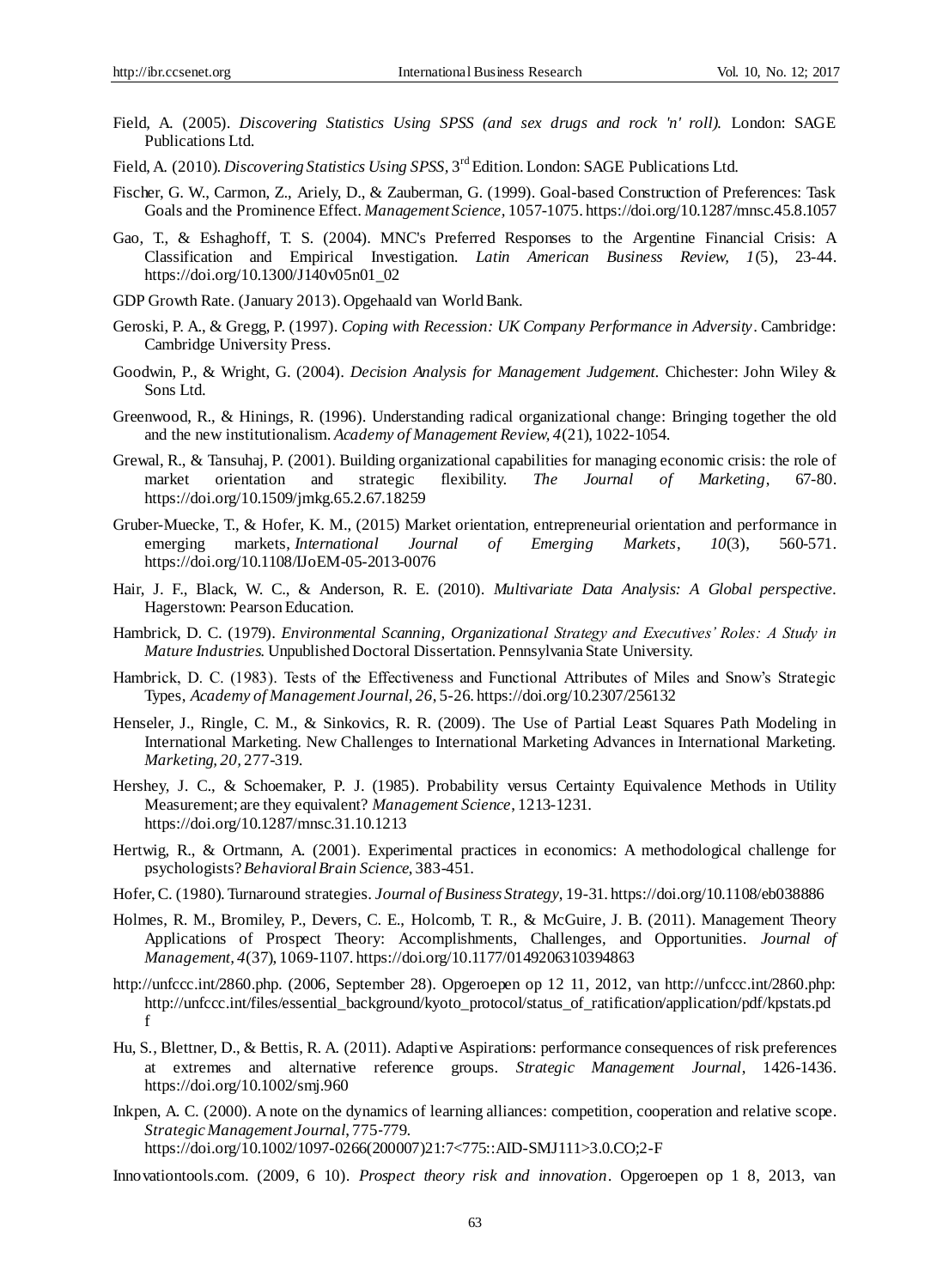- Field, A. (2005). *Discovering Statistics Using SPSS (and sex drugs and rock 'n' roll).* London: SAGE Publications Ltd.
- Field, A. (2010). *Discovering Statistics Using SPSS*, 3<sup>rd</sup> Edition. London: SAGE Publications Ltd.
- Fischer, G. W., Carmon, Z., Ariely, D., & Zauberman, G. (1999). Goal-based Construction of Preferences: Task Goals and the Prominence Effect. *Management Science,* 1057-1075. https://doi.org/10.1287/mnsc.45.8.1057
- Gao, T., & Eshaghoff, T. S. (2004). MNC's Preferred Responses to the Argentine Financial Crisis: A Classification and Empirical Investigation. *Latin American Business Review, 1*(5), 23-44. https://doi.org/10.1300/J140v05n01\_02
- GDP Growth Rate. (January 2013). Opgehaald van World Bank.
- Geroski, P. A., & Gregg, P. (1997). *Coping with Recession: UK Company Performance in Adversity*. Cambridge: Cambridge University Press.
- Goodwin, P., & Wright, G. (2004). *Decision Analysis for Management Judgement.* Chichester: John Wiley & Sons Ltd.
- Greenwood, R., & Hinings, R. (1996). Understanding radical organizational change: Bringing together the old and the new institutionalism. *Academy of Management Review, 4*(21), 1022-1054.
- Grewal, R., & Tansuhaj, P. (2001). Building organizational capabilities for managing economic crisis: the role of market orientation and strategic flexibility. *The Journal of Marketing*, 67-80. https://doi.org/10.1509/jmkg.65.2.67.18259
- Gruber-Muecke, T., & Hofer, K. M., (2015) Market orientation, entrepreneurial orientation and performance in emerging markets, *International Journal of Emerging Markets*, *10*(3), 560-571. https://doi.org/10.1108/IJoEM-05-2013-0076
- Hair, J. F., Black, W. C., & Anderson, R. E. (2010). *Multivariate Data Analysis: A Global perspective.* Hagerstown: Pearson Education.
- Hambrick, D. C. (1979). *Environmental Scanning, Organizational Strategy and Executives' Roles: A Study in Mature Industries.* Unpublished Doctoral Dissertation. Pennsylvania State University.
- Hambrick, D. C. (1983). Tests of the Effectiveness and Functional Attributes of Miles and Snow's Strategic Types, *Academy of Management Journal*, *26*, 5-26. https://doi.org/10.2307/256132
- Henseler, J., Ringle, C. M., & Sinkovics, R. R. (2009). The Use of Partial Least Squares Path Modeling in International Marketing. New Challenges to International Marketing Advances in International Marketing. *Marketing, 20,* 277-319.
- Hershey, J. C., & Schoemaker, P. J. (1985). Probability versus Certainty Equivalence Methods in Utility Measurement; are they equivalent? *Management Science*, 1213-1231. https://doi.org/10.1287/mnsc.31.10.1213
- Hertwig, R., & Ortmann, A. (2001). Experimental practices in economics: A methodological challenge for psychologists? *Behavioral Brain Science*, 383-451.
- Hofer, C. (1980). Turnaround strategies. *Journal of Business Strategy*, 19-31. https://doi.org/10.1108/eb038886
- Holmes, R. M., Bromiley, P., Devers, C. E., Holcomb, T. R., & McGuire, J. B. (2011). Management Theory Applications of Prospect Theory: Accomplishments, Challenges, and Opportunities. *Journal of Management, 4*(37), 1069-1107. https://doi.org/10.1177/0149206310394863
- http://unfccc.int/2860.php. (2006, September 28). Opgeroepen op 12 11, 2012, van http://unfccc.int/2860.php: http://unfccc.int/files/essential\_background/kyoto\_protocol/status\_of\_ratification/application/pdf/kpstats.pd f
- Hu, S., Blettner, D., & Bettis, R. A. (2011). Adaptive Aspirations: performance consequences of risk preferences at extremes and alternative reference groups. *Strategic Management Journal*, 1426-1436. https://doi.org/10.1002/smj.960
- Inkpen, A. C. (2000). A note on the dynamics of learning alliances: competition, cooperation and relative scope. *Strategic Management Journal*, 775‐779. https://doi.org/10.1002/1097-0266(200007)21:7<775::AID-SMJ111>3.0.CO;2-F

Innovationtools.com. (2009, 6 10). *Prospect theory risk and innovation*. Opgeroepen op 1 8, 2013, van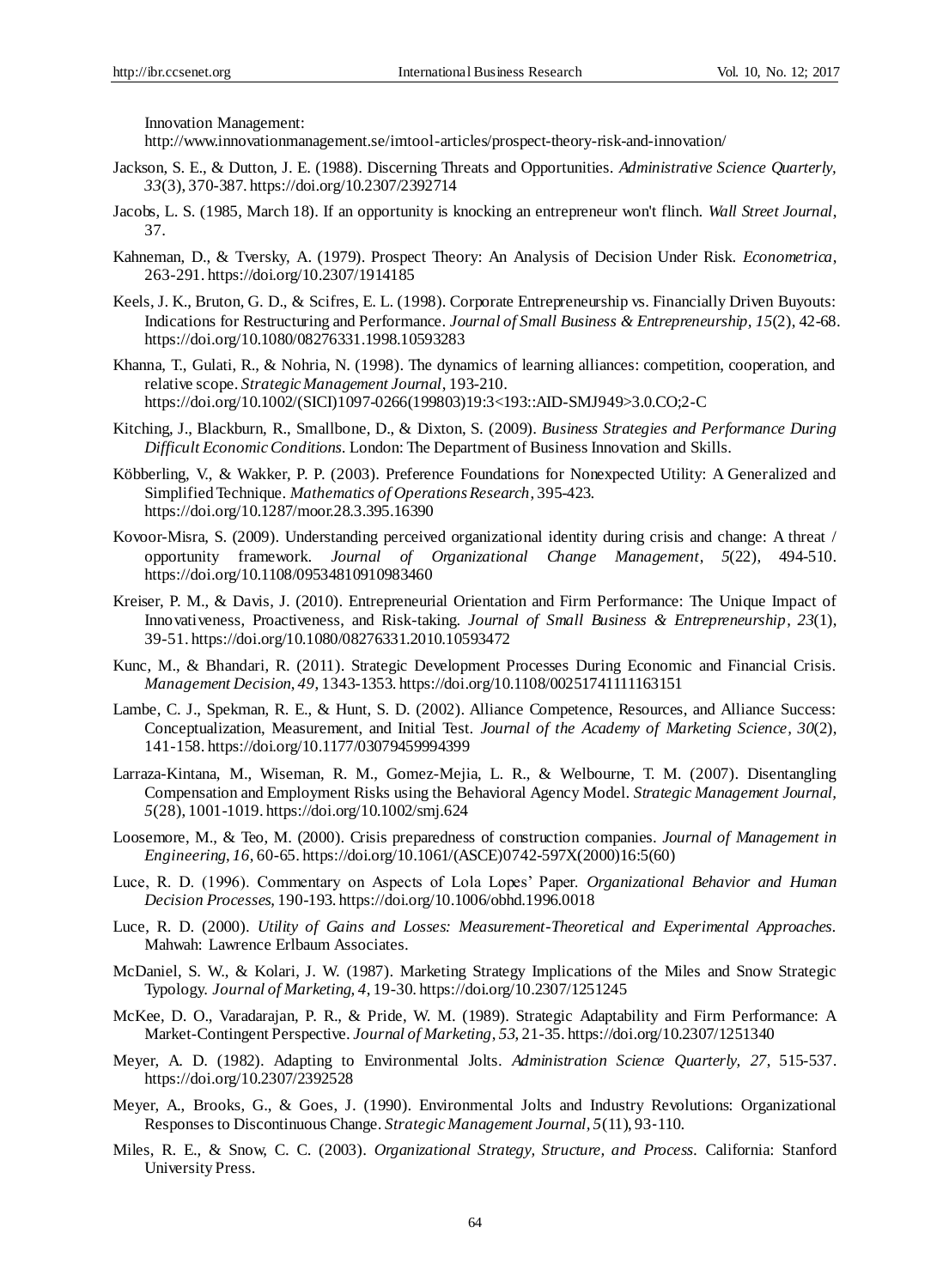Innovation Management:

http://www.innovationmanagement.se/imtool-articles/prospect-theory-risk-and-innovation/

- Jackson, S. E., & Dutton, J. E. (1988). Discerning Threats and Opportunities. *Administrative Science Quarterly, 33*(3), 370-387. https://doi.org/10.2307/2392714
- Jacobs, L. S. (1985, March 18). If an opportunity is knocking an entrepreneur won't flinch. *Wall Street Journal*, 37.
- Kahneman, D., & Tversky, A. (1979). Prospect Theory: An Analysis of Decision Under Risk. *Econometrica*, 263-291. https://doi.org/10.2307/1914185
- [Keels,](http://www.tandfonline.com/author/Keels%2C+J+Kay) J. K., [Bruton,](http://www.tandfonline.com/author/Bruton%2C+Garry+D) G. D., & Scifres, E. L. (1998). Corporate Entrepreneurship vs. Financially Driven Buyouts: Indications for Restructuring and Performance. *Journal of Small Business & Entrepreneurship, 15*(2), 42-68. https://doi.org/10.1080/08276331.1998.10593283
- Khanna, T., Gulati, R., & Nohria, N. (1998). The dynamics of learning alliances: competition, cooperation, and relative scope. *Strategic Management Journal*, 193-210. https://doi.org/10.1002/(SICI)1097-0266(199803)19:3<193::AID-SMJ949>3.0.CO;2-C
- Kitching, J., Blackburn, R., Smallbone, D., & Dixton, S. (2009). *Business Strategies and Performance During Difficult Economic Conditions.* London: The Department of Business Innovation and Skills.
- Köbberling, V., & Wakker, P. P. (2003). Preference Foundations for Nonexpected Utility: A Generalized and Simplified Technique. *Mathematics of Operations Research*, 395-423. https://doi.org/10.1287/moor.28.3.395.16390
- Kovoor-Misra, S. (2009). Understanding perceived organizational identity during crisis and change: A threat / opportunity framework. *Journal of Organizational Change Management*, *5*(22), 494-510. https://doi.org/10.1108/09534810910983460
- [Kreiser,](http://www.tandfonline.com/author/Kreiser%2C+Patrick+M) P. M., & Davis, J. (2010). Entrepreneurial Orientation and Firm Performance: The Unique Impact of Innovativeness, Proactiveness, and Risk-taking. *Journal of Small Business & Entrepreneurship*, *23*(1), 39-51. https://doi.org/10.1080/08276331.2010.10593472
- Kunc, M., & Bhandari, R. (2011). Strategic Development Processes During Economic and Financial Crisis. *Management Decision*, *49*, 1343-1353. https://doi.org/10.1108/00251741111163151
- Lambe, C. J., Spekman, R. E., & Hunt, S. D. (2002). Alliance Competence, Resources, and Alliance Success: Conceptualization, Measurement, and Initial Test. *Journal of the Academy of Marketing Science, 30*(2), 141-158. https://doi.org/10.1177/03079459994399
- Larraza-Kintana, M., Wiseman, R. M., Gomez-Mejia, L. R., & Welbourne, T. M. (2007). Disentangling Compensation and Employment Risks using the Behavioral Agency Model. *Strategic Management Journal, 5*(28), 1001-1019. https://doi.org/10.1002/smj.624
- Loosemore, M., & Teo, M. (2000). Crisis preparedness of construction companies. *Journal of Management in Engineering*, *16*, 60-65. https://doi.org/10.1061/(ASCE)0742-597X(2000)16:5(60)
- Luce, R. D. (1996). Commentary on Aspects of Lola Lopes' Paper. *Organizational Behavior and Human Decision Processes*, 190-193. https://doi.org/10.1006/obhd.1996.0018
- Luce, R. D. (2000). *Utility of Gains and Losses: Measurement-Theoretical and Experimental Approaches.* Mahwah: Lawrence Erlbaum Associates.
- McDaniel, S. W., & Kolari, J. W. (1987). Marketing Strategy Implications of the Miles and Snow Strategic Typology. *Journal of Marketing, 4*, 19-30. https://doi.org/10.2307/1251245
- McKee, D. O., Varadarajan, P. R., & Pride, W. M. (1989). Strategic Adaptability and Firm Performance: A Market-Contingent Perspective. *Journal of Marketing*, *53*, 21-35. https://doi.org/10.2307/1251340
- Meyer, A. D. (1982). Adapting to Environmental Jolts. *Administration Science Quarterly, 27*, 515-537. https://doi.org/10.2307/2392528
- Meyer, A., Brooks, G., & Goes, J. (1990). Environmental Jolts and Industry Revolutions: Organizational Responses to Discontinuous Change. *Strategic Management Journal, 5*(11), 93‐110.
- Miles, R. E., & Snow, C. C. (2003). *Organizational Strategy, Structure, and Process.* California: Stanford University Press.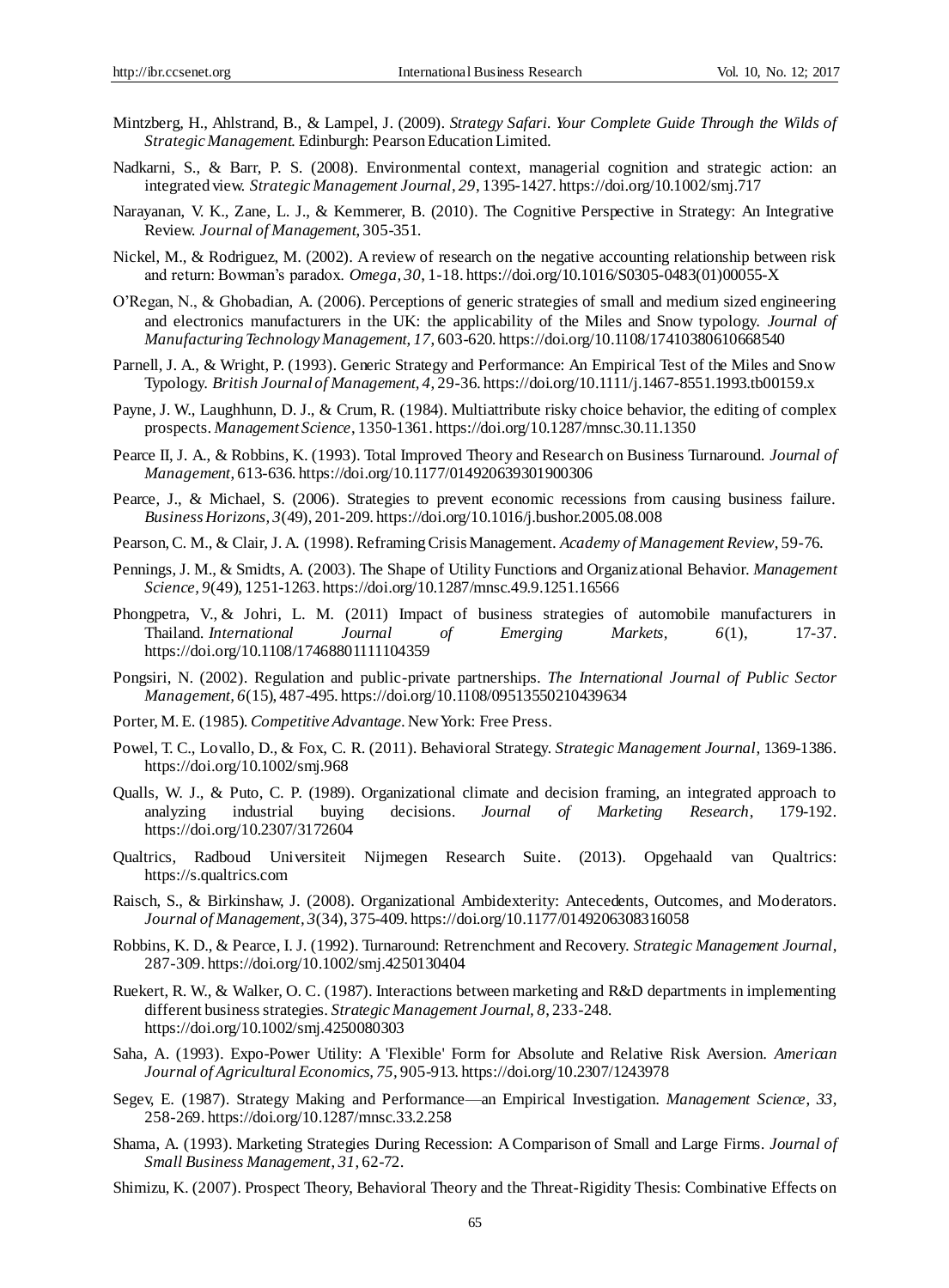- Mintzberg, H., Ahlstrand, B., & Lampel, J. (2009). *Strategy Safari. Your Complete Guide Through the Wilds of Strategic Management.* Edinburgh: Pearson Education Limited.
- Nadkarni, S., & Barr, P. S. (2008). Environmental context, managerial cognition and strategic action: an integrated view. *Strategic Management Journal*, *29*, 1395-1427. https://doi.org/10.1002/smj.717
- Narayanan, V. K., Zane, L. J., & Kemmerer, B. (2010). The Cognitive Perspective in Strategy: An Integrative Review. *Journal of Management*, 305-351.
- Nickel, M., & Rodriguez, M. (2002). A review of research on the negative accounting relationship between risk and return: Bowman's paradox. *Omega, 30*, 1-18. https://doi.org/10.1016/S0305-0483(01)00055-X
- O'Regan, N., & Ghobadian, A. (2006). Perceptions of generic strategies of small and medium sized engineering and electronics manufacturers in the UK: the applicability of the Miles and Snow typology. *Journal of Manufacturing Technology Management*, *17*, 603-620. https://doi.org/10.1108/17410380610668540
- Parnell, J. A., & Wright, P. (1993). Generic Strategy and Performance: An Empirical Test of the Miles and Snow Typology. *British Journal of Management*, *4*, 29-36. https://doi.org/10.1111/j.1467-8551.1993.tb00159.x
- Payne, J. W., Laughhunn, D. J., & Crum, R. (1984). Multiattribute risky choice behavior, the editing of complex prospects. *Management Science*, 1350-1361. https://doi.org/10.1287/mnsc.30.11.1350
- Pearce II, J. A., & Robbins, K. (1993). Total Improved Theory and Research on Business Turnaround. *Journal of Management*, 613-636. https://doi.org/10.1177/014920639301900306
- Pearce, J., & Michael, S. (2006). Strategies to prevent economic recessions from causing business failure. *Business Horizons, 3*(49), 201-209. https://doi.org/10.1016/j.bushor.2005.08.008
- Pearson, C. M., & Clair, J. A. (1998). Reframing Crisis Management. *Academy of Management Review*, 59-76.
- Pennings, J. M., & Smidts, A. (2003). The Shape of Utility Functions and Organizational Behavior. *Management Science, 9*(49), 1251-1263. https://doi.org/10.1287/mnsc.49.9.1251.16566
- [Phongpetra,](http://www.emeraldinsight.com/action/doSearch?ContribStored=Phongpetra%2C+V) V., & [Johri,](http://www.emeraldinsight.com/action/doSearch?ContribStored=Johri%2C+L+M) L. M. (2011) Impact of business strategies of automobile manufacturers in Thailand. *International Journal of Emerging Markets, 6*(1), 17-37. https://doi.org/10.1108/17468801111104359
- Pongsiri, N. (2002). Regulation and public-private partnerships. *The International Journal of Public Sector Management, 6*(15), 487-495. https://doi.org/10.1108/09513550210439634
- Porter, M. E. (1985). *Competitive Advantage*. New York: Free Press.
- Powel, T. C., Lovallo, D., & Fox, C. R. (2011). Behavioral Strategy. *Strategic Management Journal*, 1369-1386. https://doi.org/10.1002/smj.968
- Qualls, W. J., & Puto, C. P. (1989). Organizational climate and decision framing, an integrated approach to analyzing industrial buying decisions. *Journal of Marketing Research*, 179-192. https://doi.org/10.2307/3172604
- Qualtrics, Radboud Universiteit Nijmegen Research Suite. (2013). Opgehaald van Qualtrics: https://s.qualtrics.com
- Raisch, S., & Birkinshaw, J. (2008). Organizational Ambidexterity: Antecedents, Outcomes, and Moderators. *Journal of Management, 3*(34), 375-409. https://doi.org/10.1177/0149206308316058
- Robbins, K. D., & Pearce, I. J. (1992). Turnaround: Retrenchment and Recovery. *Strategic Management Journal*, 287-309. https://doi.org/10.1002/smj.4250130404
- Ruekert, R. W., & Walker, O. C. (1987). Interactions between marketing and R&D departments in implementing different business strategies. *Strategic Management Journal, 8*, 233-248. https://doi.org/10.1002/smj.4250080303
- Saha, A. (1993). Expo-Power Utility: A 'Flexible' Form for Absolute and Relative Risk Aversion. *American Journal of Agricultural Economics, 75,* 905-913. https://doi.org/10.2307/1243978
- Segev, E. (1987). Strategy Making and Performance—an Empirical Investigation. *Management Science*, *33*, 258-269. https://doi.org/10.1287/mnsc.33.2.258
- Shama, A. (1993). Marketing Strategies During Recession: A Comparison of Small and Large Firms. *Journal of Small Business Management*, *31*, 62-72.
- Shimizu, K. (2007). Prospect Theory, Behavioral Theory and the Threat-Rigidity Thesis: Combinative Effects on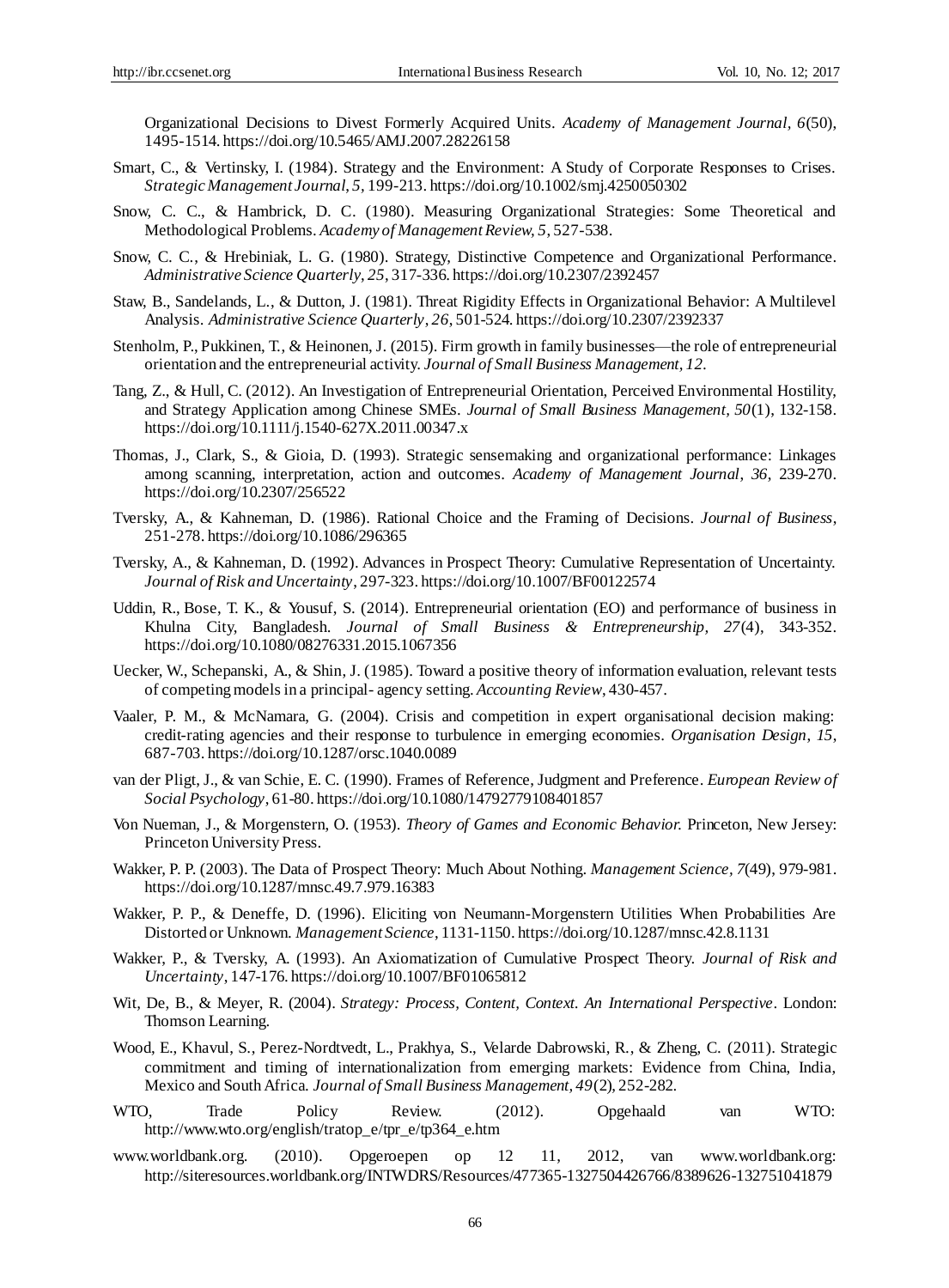Organizational Decisions to Divest Formerly Acquired Units. *Academy of Management Journal, 6*(50), 1495-1514. https://doi.org/10.5465/AMJ.2007.28226158

- Smart, C., & Vertinsky, I. (1984). Strategy and the Environment: A Study of Corporate Responses to Crises. *Strategic Management Journal*, *5,* 199-213. https://doi.org/10.1002/smj.4250050302
- Snow, C. C., & Hambrick, D. C. (1980). Measuring Organizational Strategies: Some Theoretical and Methodological Problems. *Academy of Management Review, 5*, 527-538.
- Snow, C. C., & Hrebiniak, L. G. (1980). Strategy, Distinctive Competence and Organizational Performance. *Administrative Science Quarterly*, *25*, 317-336. https://doi.org/10.2307/2392457
- Staw, B., Sandelands, L., & Dutton, J. (1981). Threat Rigidity Effects in Organizational Behavior: A Multilevel Analysis. *Administrative Science Quarterly*, *26*, 501-524. https://doi.org/10.2307/2392337
- Stenholm, P., Pukkinen, T., & Heinonen, J. (2015). Firm growth in family businesses—the role of entrepreneurial orientation and the entrepreneurial activity. *Journal of Small Business Management, 12.*
- Tang, Z., & Hull, C. (2012). An Investigation of Entrepreneurial Orientation, Perceived Environmental Hostility, and Strategy Application among Chinese SMEs. *Journal of Small Business Management, 50*(1), 132-158. https://doi.org/10.1111/j.1540-627X.2011.00347.x
- Thomas, J., Clark, S., & Gioia, D. (1993). Strategic sensemaking and organizational performance: Linkages among scanning, interpretation, action and outcomes. *Academy of Management Journal*, *36*, 239-270. https://doi.org/10.2307/256522
- Tversky, A., & Kahneman, D. (1986). Rational Choice and the Framing of Decisions. *Journal of Business*, 251-278. https://doi.org/10.1086/296365
- Tversky, A., & Kahneman, D. (1992). Advances in Prospect Theory: Cumulative Representation of Uncertainty. *Journal of Risk and Uncertainty*, 297-323. https://doi.org/10.1007/BF00122574
- [Uddin,](http://www.tandfonline.com/author/Uddin%2C+Reaz) R., [Bose,](http://www.tandfonline.com/author/Bose%2C+Tarun+Kanti) T. K., & [Yousuf,](http://www.tandfonline.com/author/Yousuf%2C+Salahuddin) S. (2014). Entrepreneurial orientation (EO) and performance of business in Khulna City, Bangladesh. *Journal of Small Business & Entrepreneurship, 27*(4), 343-352. https://doi.org/10.1080/08276331.2015.1067356
- Uecker, W., Schepanski, A., & Shin, J. (1985). Toward a positive theory of information evaluation, relevant tests of competing models in a principal- agency setting. *Accounting Review*, 430-457.
- Vaaler, P. M., & McNamara, G. (2004). Crisis and competition in expert organisational decision making: credit-rating agencies and their response to turbulence in emerging economies. *Organisation Design*, *15*, 687-703. https://doi.org/10.1287/orsc.1040.0089
- van der Pligt, J., & van Schie, E. C. (1990). Frames of Reference, Judgment and Preference. *European Review of Social Psychology*, 61-80. https://doi.org/10.1080/14792779108401857
- Von Nueman, J., & Morgenstern, O. (1953). *Theory of Games and Economic Behavior.* Princeton, New Jersey: Princeton University Press.
- Wakker, P. P. (2003). The Data of Prospect Theory: Much About Nothing. *Management Science, 7*(49), 979-981. https://doi.org/10.1287/mnsc.49.7.979.16383
- Wakker, P. P., & Deneffe, D. (1996). Eliciting von Neumann-Morgenstern Utilities When Probabilities Are Distorted or Unknown. *Management Science*, 1131-1150. https://doi.org/10.1287/mnsc.42.8.1131
- Wakker, P., & Tversky, A. (1993). An Axiomatization of Cumulative Prospect Theory. *Journal of Risk and Uncertainty*, 147-176. https://doi.org/10.1007/BF01065812
- Wit, De, B., & Meyer, R. (2004). *Strategy: Process, Content, Context. An International Perspective*. London: Thomson Learning.
- Wood, E., Khavul, S., Perez-Nordtvedt, L., Prakhya, S., Velarde Dabrowski, R., & Zheng, C. (2011). Strategic commitment and timing of internationalization from emerging markets: Evidence from China, India, Mexico and South Africa. *Journal of Small Business Management, 49*(2), 252-282.
- WTO, Trade Policy Review. (2012). Opgehaald van WTO: http://www.wto.org/english/tratop\_e/tpr\_e/tp364\_e.htm
- www.worldbank.org. (2010). Opgeroepen op 12 11, 2012, van www.worldbank.org: http://siteresources.worldbank.org/INTWDRS/Resources/477365-1327504426766/8389626-132751041879